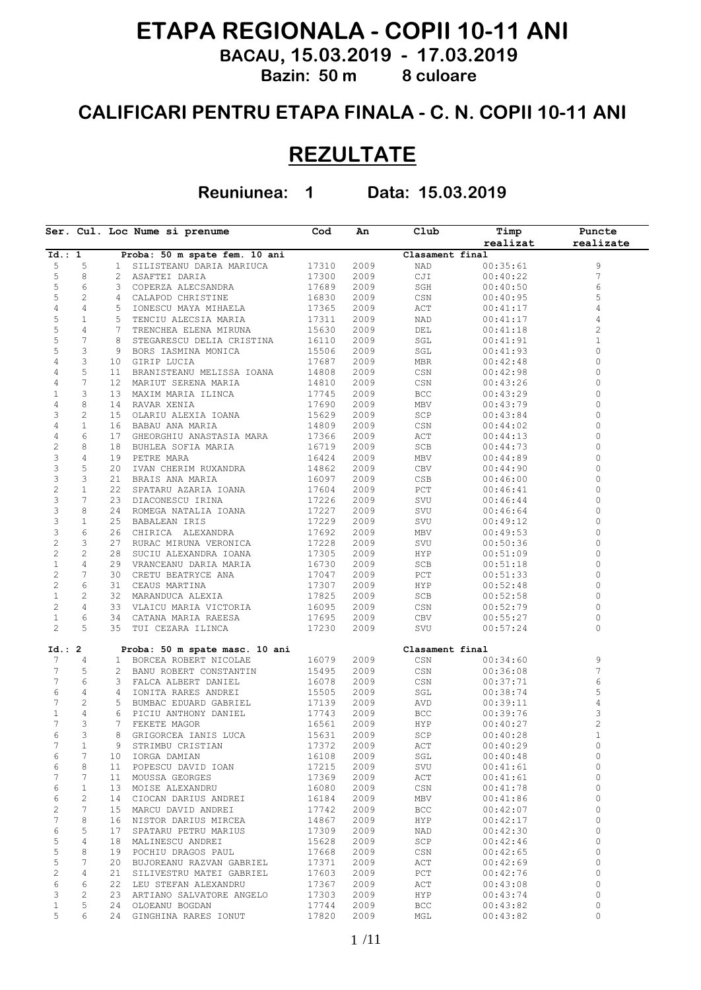## **ETAPA REGIONALA - COPII 10-11 ANI**

 **BACAU, 15.03.2019 - 17.03.2019 Bazin: 50 m 8 culoare**

## **CALIFICARI PENTRU ETAPA FINALA - C. N. COPII 10-11 ANI**

## **REZULTATE**

**Reuniunea: 1 Data: 15.03.2019**

|                     |                |    | Ser. Cul. Loc Nume si prenume  | Cod   | An   | Club            | Timp     | Puncte                  |
|---------------------|----------------|----|--------------------------------|-------|------|-----------------|----------|-------------------------|
|                     |                |    |                                |       |      |                 | realizat | realizate               |
| Id.: 1              |                |    | Proba: 50 m spate fem. 10 ani  |       |      | Clasament final |          |                         |
| 5                   | 5              | 1  | SILISTEANU DARIA MARIUCA       | 17310 | 2009 | NAD             | 00:35:61 | $\mathsf 9$             |
| 5                   | 8              | 2  | ASAFTEI DARIA                  | 17300 | 2009 | CJI             | 00:40:22 | 7                       |
| 5                   | 6              | 3  | COPERZA ALECSANDRA             | 17689 | 2009 | SGH             | 00:40:50 | 6                       |
| 5                   | $\mathbf{2}$   | 4  | CALAPOD CHRISTINE              | 16830 | 2009 | CSN             | 00:40:95 | 5                       |
| $\sqrt{4}$          | 4              | 5  | IONESCU MAYA MIHAELA           | 17365 | 2009 | ACT             | 00:41:17 | 4                       |
| 5                   | 1              | 5  | TENCIU ALECSIA MARIA           | 17311 | 2009 | NAD             | 00:41:17 | 4                       |
| 5                   | 4              | 7  | TRENCHEA ELENA MIRUNA          | 15630 | 2009 | DEL             | 00:41:18 | $\overline{c}$          |
| 5                   | 7              | 8  | STEGARESCU DELIA CRISTINA      | 16110 | 2009 | SGL             | 00:41:91 | 1                       |
| 5                   | 3              | 9  | BORS IASMINA MONICA            | 15506 | 2009 | SGL             | 00:41:93 | 0                       |
| 4                   | 3              | 10 | GIRIP LUCIA                    | 17687 | 2009 | MBR             | 00:42:48 | 0                       |
| 4                   | 5              | 11 | BRANISTEANU MELISSA IOANA      | 14808 | 2009 | CSN             | 00:42:98 | 0                       |
| 4                   | 7              | 12 | MARIUT SERENA MARIA            | 14810 | 2009 | CSN             | 00:43:26 | 0                       |
| $1\,$               | 3              | 13 | MAXIM MARIA ILINCA             | 17745 | 2009 | BCC             | 00:43:29 | $\circ$                 |
| $\sqrt{4}$          | 8              | 14 | RAVAR XENIA                    | 17690 | 2009 | MBV             | 00:43:79 | 0                       |
| 3                   | 2              | 15 | OLARIU ALEXIA IOANA            | 15629 | 2009 | SCP             | 00:43:84 | 0                       |
| $\sqrt{4}$          | $\mathbf{1}$   | 16 | BABAU ANA MARIA                | 14809 | 2009 | CSN             | 00:44:02 | 0                       |
| 4                   | 6              | 17 | GHEORGHIU ANASTASIA MARA       | 17366 | 2009 | ACT             | 00:44:13 | $\circ$                 |
| $\sqrt{2}$          | 8              | 18 | BUHLEA SOFIA MARIA             | 16719 | 2009 | SCB             | 00:44:73 | 0                       |
| 3                   | 4              | 19 | PETRE MARA                     | 16424 | 2009 | MBV             | 00:44:89 | $\mathbf{0}$            |
| 3                   | 5              | 20 | IVAN CHERIM RUXANDRA           | 14862 | 2009 | CBV             | 00:44:90 | 0                       |
| 3                   | 3              | 21 | BRAIS ANA MARIA                | 16097 | 2009 | CSB             | 00:46:00 | 0                       |
| $\overline{c}$      | $\mathbf{1}$   | 22 | SPATARU AZARIA IOANA           | 17604 | 2009 | $_{\rm PCT}$    | 00:46:41 | 0                       |
| 3                   | 7              | 23 | DIACONESCU IRINA               | 17226 | 2009 | SVU             | 00:46:44 | 0                       |
| 3                   | 8              | 24 | ROMEGA NATALIA IOANA           | 17227 | 2009 | SVU             | 00:46:64 | 0                       |
| 3                   | $\mathbf{1}$   | 25 | <b>BABALEAN IRIS</b>           | 17229 | 2009 | SVU             | 00:49:12 | 0                       |
| 3                   | 6              | 26 | CHIRICA ALEXANDRA              | 17692 | 2009 | MBV             | 00:49:53 | 0                       |
| $\mathbf{2}$        | 3              | 27 | RURAC MIRUNA VERONICA          | 17228 | 2009 | SVU             | 00:50:36 | 0                       |
| $\overline{c}$      | $\mathbf{2}$   | 28 | SUCIU ALEXANDRA IOANA          | 17305 | 2009 | HYP             | 00:51:09 | 0                       |
| $\mathbf 1$         | 4              | 29 | VRANCEANU DARIA MARIA          | 16730 | 2009 | SCB             | 00:51:18 | 0                       |
| $\sqrt{2}$          | 7              | 30 | CRETU BEATRYCE ANA             | 17047 | 2009 | $_{\rm PCT}$    | 00:51:33 | 0                       |
| $\sqrt{2}$          | 6              | 31 | CEAUS MARTINA                  | 17307 | 2009 | HYP             | 00:52:48 | 0                       |
| $\,1$               | 2              | 32 | MARANDUCA ALEXIA               | 17825 | 2009 | SCB             | 00:52:58 | 0                       |
| $\sqrt{2}$          | 4              | 33 | VLAICU MARIA VICTORIA          | 16095 | 2009 | CSN             | 00:52:79 | 0                       |
| $1\,$               | 6              | 34 | CATANA MARIA RAEESA            | 17695 | 2009 | CBV             | 00:55:27 | 0                       |
| $\overline{c}$      | 5              | 35 | TUI CEZARA ILINCA              | 17230 | 2009 | SVU             | 00:57:24 | $\Omega$                |
|                     |                |    |                                |       |      |                 |          |                         |
| Id.: 2              |                |    | Proba: 50 m spate masc. 10 ani |       |      | Clasament final |          |                         |
| 7<br>$\overline{7}$ | 4              | 1  | BORCEA ROBERT NICOLAE          | 16079 | 2009 | CSN             | 00:34:60 | 9                       |
| $\overline{7}$      | 5              | 2  | BANU ROBERT CONSTANTIN         | 15495 | 2009 | CSN             | 00:36:08 | 7                       |
|                     | 6              | 3  | FALCA ALBERT DANIEL            | 16078 | 2009 | CSN             | 00:37:71 | 6                       |
| 6                   | 4              | 4  | IONITA RARES ANDREI            | 15505 | 2009 | SGL             | 00:38:74 | 5                       |
| $\overline{7}$      | $\mathbf{2}$   | 5  | BUMBAC EDUARD GABRIEL          | 17139 | 2009 | AVD             | 00:39:11 | 4                       |
| $\mathbf{1}$        | 4              | 6  | PICIU ANTHONY DANIEL           | 17743 | 2009 | BCC             | 00:39:76 | 3                       |
| 7                   | 3              | 7  | FEKETE MAGOR                   | 16561 | 2009 | HYP             | 00:40:27 | $\overline{\mathbf{c}}$ |
| 6                   | 3              | 8  | GRIGORCEA IANIS LUCA           | 15631 | 2009 | SCP             | 00:40:28 | 1                       |
| 7                   | $\mathbf{1}$   | 9  | STRIMBU CRISTIAN               | 17372 | 2009 | ACT             | 00:40:29 | $\circ$                 |
| 6                   | 7              | 10 | IORGA DAMIAN                   | 16108 | 2009 | SGL             | 00:40:48 | 0                       |
| 6                   | 8              | 11 | POPESCU DAVID IOAN             | 17215 | 2009 | SVU             | 00:41:61 | $\circ$                 |
| 7                   | 7              | 11 | MOUSSA GEORGES                 | 17369 | 2009 | ACT             | 00:41:61 | $\circ$                 |
| 6                   | $\mathbf{1}$   | 13 | MOISE ALEXANDRU                | 16080 | 2009 | CSN             | 00:41:78 | $\circ$                 |
| 6                   | $\overline{c}$ | 14 | CIOCAN DARIUS ANDREI           | 16184 | 2009 | MBV             | 00:41:86 | $\circ$                 |
| $\mathbf{2}$        | 7              | 15 | MARCU DAVID ANDREI             | 17742 | 2009 | BCC             | 00:42:07 | $\circ$                 |
| $\overline{7}$      | 8              | 16 | NISTOR DARIUS MIRCEA           | 14867 | 2009 | HYP             | 00:42:17 | $\circ$                 |
| 6                   | 5              | 17 | SPATARU PETRU MARIUS           | 17309 | 2009 | NAD             | 00:42:30 | $\circ$                 |
| 5                   | 4              | 18 | MALINESCU ANDREI               | 15628 | 2009 | SCP             | 00:42:46 | $\circ$                 |
| 5                   | 8              | 19 | POCHIU DRAGOS PAUL             | 17668 | 2009 | CSN             | 00:42:65 | $\circ$                 |
| 5                   | 7              | 20 | BUJOREANU RAZVAN GABRIEL       | 17371 | 2009 | ACT             | 00:42:69 | $\circ$                 |
| $\mathbf{2}$        | 4              | 21 | SILIVESTRU MATEI GABRIEL       | 17603 | 2009 | PCT             | 00:42:76 | $\circ$                 |
| $\epsilon$          | 6              | 22 | LEU STEFAN ALEXANDRU           | 17367 | 2009 | ACT             | 00:43:08 | $\circ$                 |
| 3                   | 2              | 23 | ARTIANO SALVATORE ANGELO       | 17303 | 2009 | HYP             | 00:43:74 | $\circ$                 |
| $1\,$               | 5              | 24 | OLOEANU BOGDAN                 | 17744 | 2009 | BCC             | 00:43:82 | 0                       |
| 5                   | 6              | 24 | GINGHINA RARES IONUT           | 17820 | 2009 | MGL             | 00:43:82 | $\circ$                 |
|                     |                |    |                                |       |      |                 |          |                         |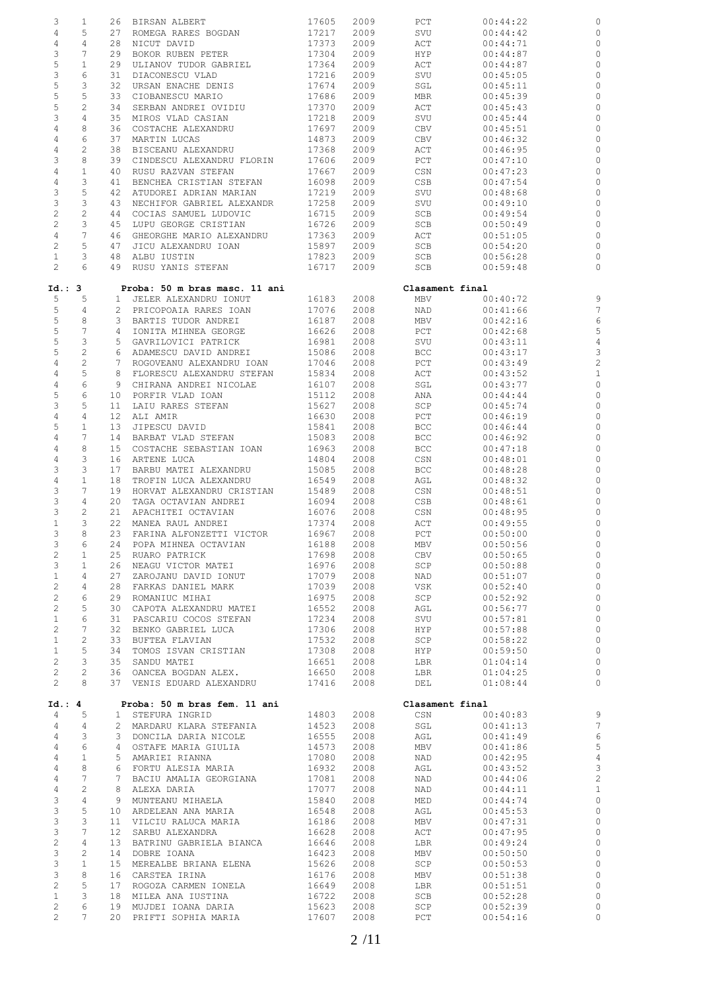| 3                                | 1                | 26              | BIRSAN ALBERT                                   | 17605          | 2009         | PCT             | 00:44:22             |                         |
|----------------------------------|------------------|-----------------|-------------------------------------------------|----------------|--------------|-----------------|----------------------|-------------------------|
| $\overline{4}$                   | 5                | 27              | ROMEGA RARES BOGDAN                             | 17217          | 2009         | SVU             | 00:44:42             |                         |
| $\overline{4}$                   | 4                | 28              | NICUT DAVID                                     | 17373          | 2009         | ACT             | 00:44:71             | C                       |
| 3                                | 7                | 29              | BOKOR RUBEN PETER                               | 17304          | 2009         | HYP             | 00:44:87             | C                       |
| 5                                | $\mathbf{1}$     | 29              | ULIANOV TUDOR GABRIEL                           | 17364          | 2009         | ACT             | 00:44:87             | C                       |
| $\ensuremath{\mathsf{3}}$        | 6                | 31              | DIACONESCU VLAD                                 | 17216          | 2009         | SVU             | 00:45:05             | C                       |
| 5                                | 3                | 32              |                                                 | 17674          | 2009         |                 |                      | C                       |
|                                  |                  |                 | URSAN ENACHE DENIS                              |                |              | SGL             | 00:45:11             |                         |
| 5                                | 5                | 33              | CIOBANESCU MARIO                                | 17686          | 2009         | MBR             | 00:45:39             | C                       |
| 5                                | $\overline{c}$   | 34              | SERBAN ANDREI OVIDIU                            | 17370          | 2009         | ACT             | 00:45:43             | C                       |
| 3                                | 4                | 35              | MIROS VLAD CASIAN                               | 17218          | 2009         | SVU             | 00:45:44             | C                       |
| $\overline{4}$                   | 8                | 36              | COSTACHE ALEXANDRU                              | 17697          | 2009         | CBV             | 00:45:51             | C                       |
| $\overline{4}$                   | 6                | 37              | MARTIN LUCAS                                    | 14873          | 2009         | CBV             | 00:46:32             | C                       |
| 4                                | 2                | 38              | BISCEANU ALEXANDRU                              | 17368          | 2009         | ACT             | 00:46:95             | C                       |
| 3                                | 8                | 39              | CINDESCU ALEXANDRU FLORIN                       | 17606          | 2009         | PCT             | 00:47:10             | C                       |
| $\overline{4}$                   | $\mathbf{1}$     | 40              | RUSU RAZVAN STEFAN                              | 17667          | 2009         | CSN             | 00:47:23             | C                       |
| $\sqrt{4}$                       | 3                | 41              | BENCHEA CRISTIAN STEFAN                         | 16098          | 2009         | CSB             | 00:47:54             | C                       |
| $\ensuremath{\mathsf{3}}$        | 5                | 42              | ATUDOREI ADRIAN MARIAN                          | 17219          | 2009         | SVU             | 00:48:68             | C                       |
| $\mathsf 3$                      | 3                | 43              | NECHIFOR GABRIEL ALEXANDR                       | 17258          | 2009         | SVU             | 00:49:10             | C                       |
| $\overline{c}$                   | $\overline{c}$   | 44              | COCIAS SAMUEL LUDOVIC                           | 16715          | 2009         | SCB             | 00:49:54             | C                       |
| $\sqrt{2}$                       | 3                | 45              | LUPU GEORGE CRISTIAN                            | 16726          | 2009         | SCB             | 00:50:49             | C                       |
| $\overline{4}$                   | 7                | 46              | GHEORGHE MARIO ALEXANDRU                        | 17363          | 2009         | ACT             | 00:51:05             | C                       |
| $\sqrt{2}$                       | 5                | 47              | JICU ALEXANDRU IOAN                             | 15897          | 2009         | SCB             | 00:54:20             | C                       |
| $\mathbf{1}$                     | 3                | 48              | ALBU IUSTIN                                     | 17823          | 2009         | SCB             |                      | C                       |
| $\mathbf{2}$                     | 6                | 49              | RUSU YANIS STEFAN                               |                |              |                 | 00:56:28             | $\circ$                 |
|                                  |                  |                 |                                                 | 16717          | 2009         | SCB             | 00:59:48             |                         |
| Id.: 3                           |                  |                 | Proba: 50 m bras masc. 11 ani                   |                |              | Clasament final |                      |                         |
| 5                                | 5                |                 | JELER ALEXANDRU IONUT                           | 16183          | 2008         | MBV             | 00:40:72             |                         |
|                                  |                  | $\mathbf{1}$    |                                                 |                |              |                 |                      | S<br>7                  |
| 5                                | 4                |                 | 2 PRICOPOAIA RARES IOAN                         | 17076          | 2008         | NAD             | 00:41:66             |                         |
| 5                                | 8                | 3               | BARTIS TUDOR ANDREI                             | 16187          | 2008         | MBV             | 00:42:16             | $\epsilon$              |
| $\mathbb S$                      | $\overline{7}$   | 4               | IONITA MIHNEA GEORGE                            | 16626          | 2008         | $_{\rm PCT}$    | 00:42:68             | 5                       |
| 5                                | 3                | 5               | GAVRILOVICI PATRICK                             | 16981          | 2008         | SVU             | 00:43:11             | $\overline{4}$          |
| 5                                | $\sqrt{2}$       | 6               | ADAMESCU DAVID ANDREI                           | 15086          | 2008         | BCC             | 00:43:17             | 3                       |
| 4                                | $\overline{c}$   | 7               | ROGOVEANU ALEXANDRU IOAN                        | 17046          | 2008         | PCT             | 00:43:49             | $\overline{c}$          |
| $\overline{4}$                   | 5                | 8               | FLORESCU ALEXANDRU STEFAN                       | 15834          | 2008         | ACT             | 00:43:52             | $\mathbf{1}$            |
| $\overline{4}$                   | 6                | 9               | CHIRANA ANDREI NICOLAE                          | 16107          | 2008         | SGL             | 00:43:77             | C                       |
| 5                                | 6                | 10              | PORFIR VLAD IOAN                                | 15112          | 2008         | ANA             | 00:44:44             | C                       |
| 3                                | 5                | 11              | LAIU RARES STEFAN                               | 15627          | 2008         | SCP             | 00:45:74             | C                       |
| $\sqrt{4}$                       | 4                | 12 <sub>1</sub> | ALI AMIR                                        | 16630          | 2008         | PCT             | 00:46:19             | C                       |
| 5                                | $\mathbf{1}$     | 13              | JIPESCU DAVID                                   | 15841          | 2008         | BCC             | 00:46:44             | C                       |
| $\sqrt{4}$                       | 7                | 14              | BARBAT VLAD STEFAN                              | 15083          | 2008         | BCC             | 00:46:92             | C                       |
| $\overline{4}$                   | 8                | 15              | COSTACHE SEBASTIAN IOAN                         | 16963          | 2008         | BCC             | 00:47:18             | С                       |
| $\overline{4}$                   | 3                | 16              | ARTENE LUCA                                     | 14804          | 2008         | CSN             | 00:48:01             | C                       |
| $\ensuremath{\mathsf{3}}$        | 3                | 17              | BARBU MATEI ALEXANDRU                           | 15085          | 2008         | BCC             | 00:48:28             | C                       |
| $\overline{4}$                   | $\mathbf 1$      | 18              | TROFIN LUCA ALEXANDRU                           | 16549          | 2008         | AGL             | 00:48:32             | C                       |
| $\ensuremath{\mathsf{3}}$        | 7                | 19              | HORVAT ALEXANDRU CRISTIAN                       | 15489          | 2008         | CSN             | 00:48:51             | C                       |
| 3                                | 4                | 20              | TAGA OCTAVIAN ANDREI                            | 16094          | 2008         | CSB             | 00:48:61             | C                       |
|                                  |                  |                 |                                                 |                |              |                 |                      |                         |
| 3                                | 2                | 21              | APACHITEI OCTAVIAN                              | 16076          | 2008         | CSN             | 00:48:95             | C                       |
| $\mathbf{1}$                     | 3                | 22              | MANEA RAUL ANDREI                               | 17374          | 2008         | ACT             | 00:49:55             | C                       |
| 3                                | 8                |                 | 23 FARINA ALFONZETTI VICTOR                     | 16967          | 2008         | PCT             | 00:50:00             | $\circ$                 |
| 3                                | 6                |                 | 24 POPA MIHNEA OCTAVIAN                         | 16188          | 2008         | MBV             | 00:50:56             | C                       |
| $\overline{c}$                   | 1                |                 | 25 RUARO PATRICK                                | 17698          | 2008         | CBV             | 00:50:65             | C                       |
| 3                                | $\mathbf{1}$     |                 | 26 NEAGU VICTOR MATEI                           | 16976          | 2008         | SCP             | 00:50:88             | $\circ$                 |
| $\mathbf{1}$                     | $\overline{4}$   | 27              | ZAROJANU DAVID IONUT                            | 17079          | 2008         | NAD             | 00:51:07             | $\mathsf{C}$            |
| $\overline{c}$                   | $\overline{4}$   | 28              | FARKAS DANIEL MARK                              | 17039          | 2008         | VSK             | 00:52:40             | $\circ$                 |
| $\mathbf{2}$                     | 6                |                 | 29 ROMANIUC MIHAI                               | 16975          | 2008         | SCP             | 00:52:92             | $\circ$                 |
| $\overline{c}$                   | 5                | 30              | CAPOTA ALEXANDRU MATEI                          | 16552          | 2008         | AGL             | 00:56:77             | $\circ$                 |
| $\mathbf{1}$                     | 6                |                 | 31 PASCARIU COCOS STEFAN                        | 17234          | 2008         | SVU             | 00:57:81             | $\circ$                 |
| $\overline{c}$                   | 7                | 32              | BENKO GABRIEL LUCA                              | 17306          | 2008         | HYP             | 00:57:88             | $\mathbb C$             |
| $\mathbf{1}$                     | 2                |                 | 33 BUFTEA FLAVIAN                               | 17532          | 2008         | SCP             | 00:58:22             | $\mathbb C$             |
| $\mathbf{1}$                     | 5                | 34              | TOMOS ISVAN CRISTIAN                            | 17308          | 2008         | HYP             | 00:59:50             | $\mathbb C$             |
| $\overline{2}$                   | 3                |                 | 35 SANDU MATEI                                  | 16651          | 2008         | LBR             | 01:04:14             | $\circ$                 |
| $\overline{2}$                   | $\mathbf{2}$     |                 | 36 OANCEA BOGDAN ALEX.                          | 16650          | 2008         | LBR             | 01:04:25             | $\mathbb C$             |
| $\mathbf{2}$                     | 8                |                 | 37 VENIS EDUARD ALEXANDRU                       | 17416          | 2008         | DEL             | 01:08:44             | $\mathbb C$             |
|                                  |                  |                 |                                                 |                |              |                 |                      |                         |
| Id.: 4                           |                  |                 | Proba: 50 m bras fem. 11 ani                    |                |              | Clasament final |                      |                         |
| 4                                | 5                |                 | 1 STEFURA INGRID                                | 14803          | 2008         | CSN             | 00:40:83             | $\mathsf{S}$            |
| 4                                | 4                |                 | 2 MARDARU KLARA STEFANIA                        | 14523          | 2008         | SGL             | 00:41:13             | $\overline{7}$          |
| 4                                | 3                |                 | 3 DONCILA DARIA NICOLE                          | 16555          | 2008         | AGL             | 00:41:49             | $\epsilon$              |
| $\overline{4}$                   | 6                |                 | 4 OSTAFE MARIA GIULIA                           | 14573          | 2008         | MBV             | 00:41:86             | $\overline{5}$          |
|                                  |                  |                 |                                                 |                |              |                 | 00:42:95             | $\overline{4}$          |
|                                  | $\mathbf{1}$     |                 |                                                 |                |              |                 |                      |                         |
| $\overline{4}$                   |                  |                 | 5 AMARIEI RIANNA                                | 17080          | 2008         | NAD             |                      |                         |
| $\overline{4}$                   | 8<br>7           |                 | 6 FORTU ALESIA MARIA                            | 16932          | 2008         | AGL             | 00:43:52             | $\mathbf{B}$            |
| $\overline{4}$                   |                  |                 | 7 BACIU AMALIA GEORGIANA                        | 17081          | 2008         | NAD             | 00:44:06             | $\overline{c}$          |
| $\overline{4}$                   | $\overline{c}$   |                 | 8 ALEXA DARIA                                   | 17077          | 2008         | NAD             | 00:44:11             | $\mathbf{1}$            |
| 3                                | $\overline{4}$   |                 | 9 MUNTEANU MIHAELA                              | 15840          | 2008         | MED             | 00:44:74             | $\mathbb C$             |
| $\mathsf 3$                      | 5                |                 | 10 ARDELEAN ANA MARIA                           | 16548          | 2008         | AGL             | 00:45:53             | $\circ$                 |
| $\mathsf 3$                      | 3                |                 | 11 VILCIU RALUCA MARIA                          | 16186          | 2008         | MBV             | 00:47:31             | $\mathbb C$             |
| $\ensuremath{\mathsf{3}}$        | $7\phantom{.0}$  |                 | 12 SARBU ALEXANDRA                              | 16628          | 2008         | ACT             | 00:47:95             | $\mathbb C$             |
| $\sqrt{2}$                       | $\overline{4}$   | 13              | BATRINU GABRIELA BIANCA                         | 16646          | 2008         | LBR             | 00:49:24             | $\mathsf{C}$            |
| $\mathfrak{Z}$                   | 2                | 14              | DOBRE IOANA                                     | 16423          | 2008         | MBV             | 00:50:50             | $\mathbb C$             |
| $\mathsf 3$                      | $\mathbf{1}$     | 15              | MEREALBE BRIANA ELENA                           | 15626          | 2008         | SCP             | 00:50:53             | $\circ$                 |
| $\mathcal{E}$                    | 8                |                 | 16 CARSTEA IRINA                                | 16176          | 2008         | MBV             | 00:51:38             | $\circ$                 |
| $\mathbf{2}$                     | 5                | 17              | ROGOZA CARMEN IONELA                            | 16649          | 2008         | LBR             | 00:51:51             | $\mathbb C$             |
| $\mathbf{1}$                     | 3                |                 | 18 MILEA ANA IUSTINA                            | 16722          | 2008         | SCB             | 00:52:28             | $\mathbb C$             |
| $\overline{2}$<br>$\overline{c}$ | 6<br>$7^{\circ}$ |                 | 19 MUJDEI IOANA DARIA<br>20 PRIFTI SOPHIA MARIA | 15623<br>17607 | 2008<br>2008 | SCP<br>PCT      | 00:52:39<br>00:54:16 | $\circ$<br>$\mathsf{C}$ |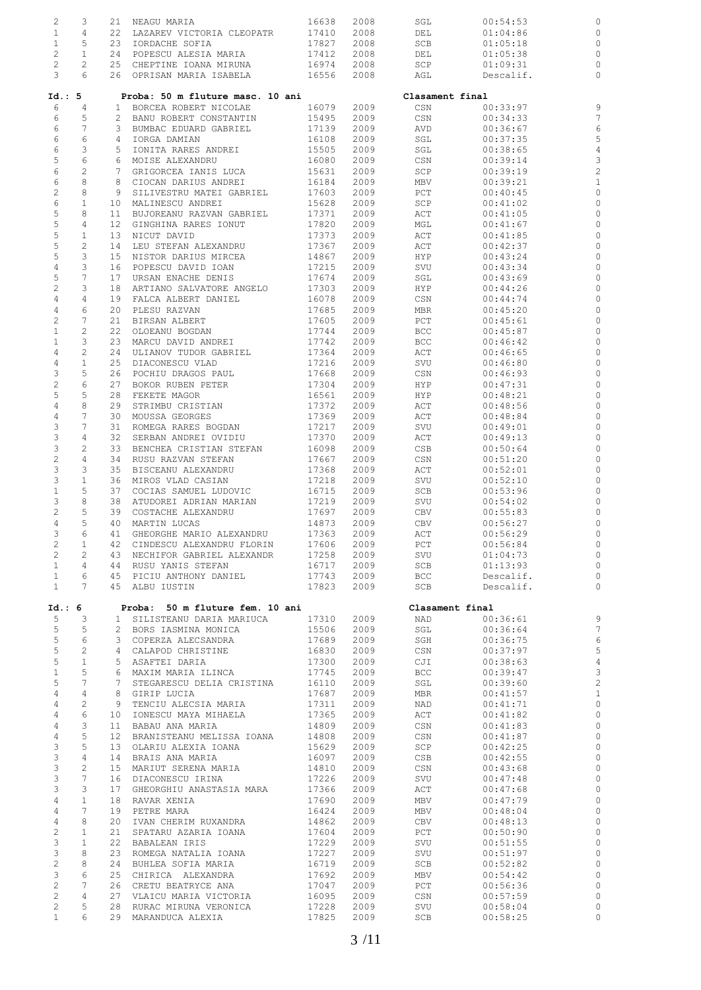| 2                         | 3                     | 21              | NEAGU MARIA                      | 16638 | 2008 | SGL             | 00:54:53  | C              |
|---------------------------|-----------------------|-----------------|----------------------------------|-------|------|-----------------|-----------|----------------|
|                           |                       |                 |                                  |       |      |                 |           |                |
| $\mathbf{1}$              | 4                     | 22              | LAZAREV VICTORIA CLEOPATR        | 17410 | 2008 | DEL             | 01:04:86  |                |
| $\mathbf{1}$              | 5                     | 23              | IORDACHE SOFIA                   | 17827 | 2008 | SCB             | 01:05:18  | C              |
| $\overline{c}$            | $\mathbf{1}$          | 24              | POPESCU ALESIA MARIA             | 17412 | 2008 | DEL             | 01:05:38  | C              |
|                           |                       |                 |                                  |       |      |                 |           |                |
| $\overline{c}$            | $\mathbf{2}^{\prime}$ | 25              | CHEPTINE IOANA MIRUNA            | 16974 | 2008 | SCP             | 01:09:31  | C              |
| 3                         | 6                     |                 | 26 OPRISAN MARIA ISABELA         | 16556 | 2008 | AGL             | Descalif. | C              |
|                           |                       |                 |                                  |       |      |                 |           |                |
|                           |                       |                 |                                  |       |      |                 |           |                |
| Id.: 5                    |                       |                 | Proba: 50 m fluture masc. 10 ani |       |      | Clasament final |           |                |
| 6                         | $\overline{4}$        | 1               | BORCEA ROBERT NICOLAE            | 16079 | 2009 | CSN             | 00:33:97  | S              |
|                           |                       |                 |                                  |       |      |                 |           |                |
| 6                         | 5                     | 2               | BANU ROBERT CONSTANTIN           | 15495 | 2009 | CSN             | 00:34:33  |                |
| 6                         | 7                     | 3               | BUMBAC EDUARD GABRIEL            | 17139 | 2009 | AVD             | 00:36:67  | $\epsilon$     |
|                           |                       |                 |                                  |       |      |                 |           |                |
| 6                         | 6                     | 4               | IORGA DAMIAN                     | 16108 | 2009 | SGL             | 00:37:35  | 5              |
| 6                         | 3                     | 5               | IONITA RARES ANDREI              | 15505 | 2009 | SGL             | 00:38:65  | 4              |
| 5                         | 6                     |                 |                                  |       |      |                 |           |                |
|                           |                       | 6               | MOISE ALEXANDRU                  | 16080 | 2009 | CSN             | 00:39:14  | З              |
| 6                         | $\mathbf{2}$          | $7^{\circ}$     | GRIGORCEA IANIS LUCA             | 15631 | 2009 | SCP             | 00:39:19  | $\overline{c}$ |
| $\epsilon$                | 8                     | 8               | CIOCAN DARIUS ANDREI             | 16184 | 2009 | MBV             | 00:39:21  | $\mathbf{1}$   |
|                           |                       |                 |                                  |       |      |                 |           |                |
| $\sqrt{2}$                | 8                     | 9               | SILIVESTRU MATEI GABRIEL         | 17603 | 2009 | PCT             | 00:40:45  | C              |
| 6                         | $\mathbf{1}$          | 10              | MALINESCU ANDREI                 | 15628 | 2009 | SCP             | 00:41:02  | С              |
| 5                         | 8                     |                 |                                  |       |      |                 |           | C              |
|                           |                       | 11              | BUJOREANU RAZVAN GABRIEL         | 17371 | 2009 | ACT             | 00:41:05  |                |
| 5                         | 4                     | 12 <sub>2</sub> | GINGHINA RARES IONUT             | 17820 | 2009 | MGL             | 00:41:67  | C              |
| $\mathbb S$               | $\mathbf{1}$          | 13              | NICUT DAVID                      | 17373 | 2009 | ACT             | 00:41:85  | C              |
|                           |                       |                 |                                  |       |      |                 |           |                |
| 5                         | 2                     | 14              | LEU STEFAN ALEXANDRU             | 17367 | 2009 | ACT             | 00:42:37  | C              |
| 5                         | 3                     | 15              | NISTOR DARIUS MIRCEA             | 14867 | 2009 | HYP             | 00:43:24  | C              |
|                           | 3                     |                 |                                  |       |      |                 | 00:43:34  | C              |
| $\overline{4}$            |                       | 16              | POPESCU DAVID IOAN               | 17215 | 2009 | SVU             |           |                |
| 5                         | $\overline{7}$        | 17              | URSAN ENACHE DENIS               | 17674 | 2009 | SGL             | 00:43:69  | C              |
| $\sqrt{2}$                | 3                     | 18              | ARTIANO SALVATORE ANGELO         | 17303 | 2009 | HYP             | 00:44:26  | C              |
|                           |                       |                 |                                  |       |      |                 |           |                |
| 4                         | 4                     | 19              | FALCA ALBERT DANIEL              | 16078 | 2009 | CSN             | 00:44:74  | C              |
| $\overline{4}$            | 6                     | 20              | PLESU RAZVAN                     | 17685 | 2009 | MBR             | 00:45:20  | C              |
|                           |                       |                 |                                  |       |      |                 |           |                |
| $\sqrt{2}$                | $\overline{7}$        | 21              | BIRSAN ALBERT                    | 17605 | 2009 | PCT             | 00:45:61  | C              |
| $\mathbf{1}$              | 2                     | 22              | OLOEANU BOGDAN                   | 17744 | 2009 | BCC             | 00:45:87  |                |
| $\mathbf{1}$              | 3                     | 23              | MARCU DAVID ANDREI               | 17742 | 2009 | <b>BCC</b>      | 00:46:42  | C              |
|                           |                       |                 |                                  |       |      |                 |           |                |
| $\overline{4}$            | $\overline{c}$        | 24              | ULIANOV TUDOR GABRIEL            | 17364 | 2009 | ACT             | 00:46:65  | C              |
| $\sqrt{4}$                | $\mathbf 1$           | 25              | DIACONESCU VLAD                  | 17216 | 2009 | SVU             | 00:46:80  | C              |
|                           |                       | 26              |                                  |       |      |                 |           |                |
| 3                         | 5                     |                 | POCHIU DRAGOS PAUL               | 17668 | 2009 | CSN             | 00:46:93  | C              |
| $\sqrt{2}$                | 6                     | 27              | BOKOR RUBEN PETER                | 17304 | 2009 | HYP             | 00:47:31  | C              |
| 5                         | 5                     | 28              | FEKETE MAGOR                     | 16561 | 2009 | HYP             | 00:48:21  | C              |
|                           |                       |                 |                                  |       |      |                 |           |                |
| $\sqrt{4}$                | 8                     | 29              | STRIMBU CRISTIAN                 | 17372 | 2009 | ACT             | 00:48:56  | C              |
| $\overline{4}$            | 7                     | 30              | MOUSSA GEORGES                   | 17369 | 2009 | ACT             | 00:48:84  | C              |
| $\ensuremath{\mathsf{3}}$ | 7                     | 31              |                                  |       |      |                 |           | C              |
|                           |                       |                 | ROMEGA RARES BOGDAN              | 17217 | 2009 | SVU             | 00:49:01  |                |
| $\ensuremath{\mathsf{3}}$ | 4                     | 32              | SERBAN ANDREI OVIDIU             | 17370 | 2009 | ACT             | 00:49:13  | C              |
| $\ensuremath{\mathsf{3}}$ | 2                     | 33              | BENCHEA CRISTIAN STEFAN          | 16098 | 2009 | CSB             | 00:50:64  | C              |
|                           |                       |                 |                                  |       |      |                 |           |                |
| $\sqrt{2}$                | 4                     | 34              | RUSU RAZVAN STEFAN               | 17667 | 2009 | CSN             | 00:51:20  | C              |
| $\ensuremath{\mathsf{3}}$ | 3                     | 35              | BISCEANU ALEXANDRU               | 17368 | 2009 | ACT             | 00:52:01  | C              |
| 3                         | $\mathbf{1}$          | 36              | MIROS VLAD CASIAN                | 17218 | 2009 | SVU             | 00:52:10  | C              |
|                           |                       |                 |                                  |       |      |                 |           |                |
| $\mathbf{1}$              | 5                     | 37              | COCIAS SAMUEL LUDOVIC            | 16715 | 2009 | SCB             | 00:53:96  | C              |
| 3                         | 8                     | 38              | ATUDOREI ADRIAN MARIAN           | 17219 | 2009 | SVU             | 00:54:02  | C              |
|                           |                       |                 |                                  |       |      |                 |           |                |
| $\overline{c}$            | 5                     | 39              | COSTACHE ALEXANDRU               | 17697 | 2009 | CBV             | 00:55:83  | C              |
| 4                         | 5                     | 40              | MARTIN LUCAS                     | 14873 | 2009 | CBV             | 00:56:27  | C              |
| 3                         | 6                     | 41              | GHEORGHE MARIO ALEXANDRU         | 17363 | 2009 | ACT             | 00:56:29  | $\mathsf{C}$   |
|                           |                       |                 |                                  |       |      |                 |           |                |
| 2                         | 1                     | 42              | CINDESCU ALEXANDRU FLORIN        | 17606 | 2009 | PCT             | 00:56:84  |                |
| $\overline{c}$            | 2                     | 43              | NECHIFOR GABRIEL ALEXANDR        | 17258 | 2009 | SVU             | 01:04:73  | C              |
|                           |                       |                 |                                  |       |      |                 |           |                |
| $\mathbf{1}$              | 4                     | 44              | RUSU YANIS STEFAN                | 16717 | 2009 | SCB             | 01:13:93  | C              |
| $\mathbf{1}$              | 6                     | 45              | PICIU ANTHONY DANIEL             | 17743 | 2009 | <b>BCC</b>      | Descalif. | $\circ$        |
| $\mathbf{1}$              | $7^{\circ}$           | 45              | ALBU IUSTIN                      | 17823 | 2009 | SCB             | Descalif. | $\mathcal{C}$  |
|                           |                       |                 |                                  |       |      |                 |           |                |
|                           |                       |                 |                                  |       |      |                 |           |                |
| Id.: 6                    |                       |                 | Proba: 50 m fluture fem. 10 ani  |       |      | Clasament final |           |                |
| 5                         | 3                     | $\mathbf{1}$    | SILISTEANU DARIA MARIUCA         | 17310 | 2009 | NAD             | 00:36:61  | S              |
|                           |                       |                 |                                  |       |      |                 |           |                |
| 5                         | 5                     |                 | 2 BORS IASMINA MONICA            | 15506 | 2009 | SGL             | 00:36:64  | 7              |
| 5                         | 6                     | 3               | COPERZA ALECSANDRA               | 17689 | 2009 | SGH             | 00:36:75  | $\epsilon$     |
| 5                         | 2                     | 4               | CALAPOD CHRISTINE                | 16830 | 2009 | CSN             | 00:37:97  | $\overline{5}$ |
|                           |                       |                 |                                  |       |      |                 |           |                |
| 5                         | $\mathbf{1}$          | 5               | ASAFTEI DARIA                    | 17300 | 2009 | CJI             | 00:38:63  | $\overline{4}$ |
| $1\,$                     | 5                     | 6               | MAXIM MARIA ILINCA               | 17745 | 2009 | BCC             | 00:39:47  | $\mathbf{C}$   |
| 5                         | 7                     | 7               | STEGARESCU DELIA CRISTINA        | 16110 | 2009 | SGL             | 00:39:60  | $\overline{c}$ |
|                           |                       |                 |                                  |       |      |                 |           |                |
| 4                         | $\overline{4}$        | 8               | GIRIP LUCIA                      | 17687 | 2009 | MBR             | 00:41:57  | $\mathbf{1}$   |
| 4                         | $\overline{c}$        | 9               | TENCIU ALECSIA MARIA             | 17311 | 2009 | NAD             | 00:41:71  | $\circ$        |
|                           | 6                     |                 |                                  |       |      |                 |           |                |
| 4                         |                       | 10              | IONESCU MAYA MIHAELA             | 17365 | 2009 | ACT             | 00:41:82  | $\circ$        |
| 4                         | 3                     | 11              | BABAU ANA MARIA                  | 14809 | 2009 | CSN             | 00:41:83  | $\mathsf{C}$   |
| 4                         | 5                     | 12              | BRANISTEANU MELISSA IOANA        | 14808 | 2009 | CSN             | 00:41:87  | $\circ$        |
|                           |                       |                 |                                  |       |      |                 |           |                |
| 3                         | 5                     | 13              | OLARIU ALEXIA IOANA              | 15629 | 2009 | SCP             | 00:42:25  | $\circ$        |
| $\mathsf 3$               | 4                     | 14              | BRAIS ANA MARIA                  | 16097 | 2009 | CSB             | 00:42:55  | $\circ$        |
| 3                         | $\overline{c}$        | 15 <sub>1</sub> | MARIUT SERENA MARIA              | 14810 | 2009 | CSN             | 00:43:68  | $\mathbb C$    |
|                           |                       |                 |                                  |       |      |                 |           |                |
| 3                         | 7                     | 16              | DIACONESCU IRINA                 | 17226 | 2009 | SVU             | 00:47:48  | $\mathsf{C}$   |
| 3                         | 3                     | 17              | GHEORGHIU ANASTASIA MARA         | 17366 | 2009 | ACT             | 00:47:68  | $\circ$        |
|                           | $\mathbf{1}$          |                 |                                  |       |      |                 |           | $\circ$        |
| $\overline{4}$            |                       | 18              | RAVAR XENIA                      | 17690 | 2009 | MBV             | 00:47:79  |                |
| 4                         | $7\overline{ }$       | 19              | PETRE MARA                       | 16424 | 2009 | MBV             | 00:48:04  | $\mathbb C$    |
| $\overline{4}$            | 8                     | 20              | IVAN CHERIM RUXANDRA             | 14862 | 2009 | CBV             | 00:48:13  | $\circ$        |
|                           |                       |                 |                                  |       |      |                 |           |                |
| $\mathbf{2}$              | $\mathbf 1$           | 21              | SPATARU AZARIA IOANA             | 17604 | 2009 | PCT             | 00:50:90  | $\circ$        |
| $\ensuremath{\mathsf{3}}$ | $\mathbf{1}$          | 22              | BABALEAN IRIS                    | 17229 | 2009 | SVU             | 00:51:55  | $\circ$        |
|                           | 8                     |                 |                                  |       |      |                 |           | $\mathsf C$    |
| 3                         |                       | 23              | ROMEGA NATALIA IOANA             | 17227 | 2009 | SVU             | 00:51:97  |                |
| $\sqrt{2}$                | 8                     | 24              | BUHLEA SOFIA MARIA               | 16719 | 2009 | SCB             | 00:52:82  | $\circ$        |
| $\mathfrak{Z}$            | 6                     | 25              | CHIRICA ALEXANDRA                | 17692 | 2009 | MBV             | 00:54:42  | $\circ$        |
|                           |                       |                 |                                  |       |      |                 |           |                |
| $\overline{c}$            | 7                     | 26              | CRETU BEATRYCE ANA               | 17047 | 2009 | PCT             | 00:56:36  | $\circ$        |
| $\mathbf{2}$              | 4                     | 27              | VLAICU MARIA VICTORIA            | 16095 | 2009 | CSN             | 00:57:59  | $\circ$        |
| $\mathbf{2}$              | 5                     | 28              |                                  |       |      |                 |           | $\circ$        |
|                           |                       |                 | RURAC MIRUNA VERONICA            | 17228 | 2009 | SVU             | 00:58:04  |                |
| $\mathbf{1}$              | 6                     |                 | 29 MARANDUCA ALEXIA              | 17825 | 2009 | SCB             | 00:58:25  | $\circ$        |
|                           |                       |                 |                                  |       |      |                 |           |                |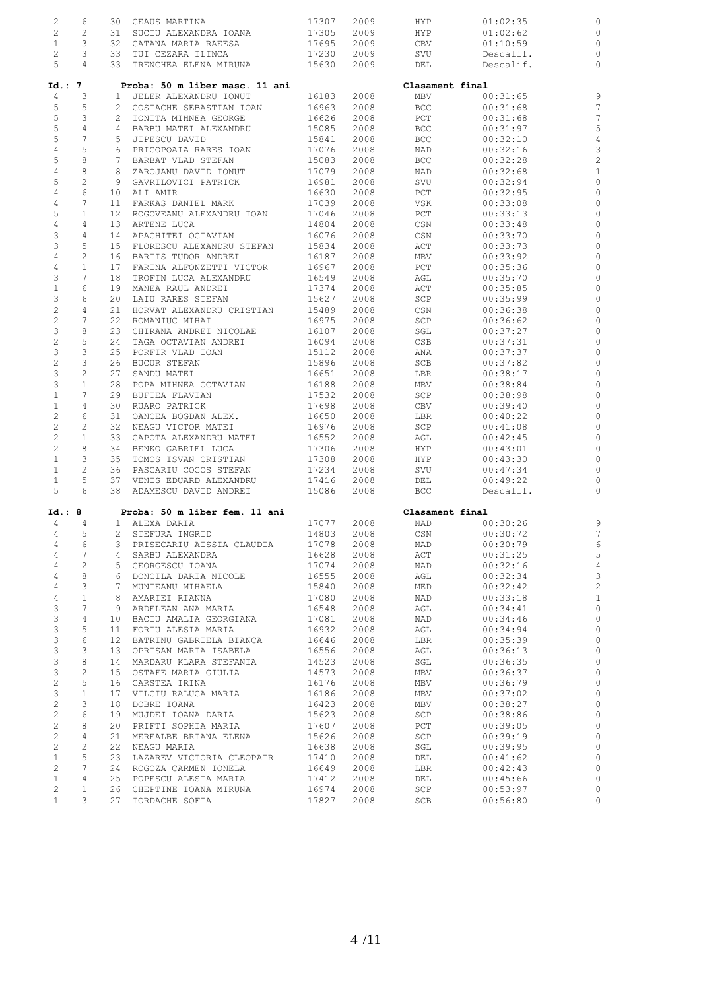| 2<br>$\overline{c}$            | 6<br>2                |    | 30 CEAUS MARTINA                                   | 17307          | 2009         | HYP             | 01:02:35             |                            |
|--------------------------------|-----------------------|----|----------------------------------------------------|----------------|--------------|-----------------|----------------------|----------------------------|
|                                |                       |    | 31 SUCIU ALEXANDRA IOANA<br>32 CATANA MARIA RAEESA | 17305          | 2009         | HYP             | 01:02:62             | C                          |
| $\mathbf{1}$                   | 3                     |    |                                                    | 17695          | 2009         | CBV             | 01:10:59             | C                          |
| $\mathbf{2}$                   | 3                     |    | 33 TUI CEZARA ILINCA                               | 17230          | 2009         | SVU             | Descalif.            | C                          |
| 5                              | $\overline{4}$        |    | 33 TRENCHEA ELENA MIRUNA                           | 15630          | 2009         | DEL             | Descalif.            | $\circ$                    |
| Id.: 7                         |                       |    | Proba: 50 m liber masc. 11 ani                     |                |              | Clasament final |                      |                            |
| $\overline{4}$                 | 3                     |    | 1 JELER ALEXANDRU IONUT                            | 16183          | 2008         | MBV             | 00:31:65             | S                          |
| 5                              | 5                     |    | 2 COSTACHE SEBASTIAN IOAN                          | 16963          | 2008         | BCC             | 00:31:68             | $\overline{7}$             |
| 5                              | 3                     |    | 2 IONITA MIHNEA GEORGE                             | 16626          | 2008         | PCT             | 00:31:68             | 7                          |
| 5                              | $\overline{4}$        |    | 4 BARBU MATEI ALEXANDRU                            | 15085          | 2008         | BCC             | 00:31:97             | 5                          |
| 5                              | $7\phantom{.0}$       |    | 5 JIPESCU DAVID                                    | 15841          | 2008         | BCC             | 00:32:10             | $\overline{4}$             |
| $\overline{4}$                 | 5                     |    | 6 PRICOPOAIA RARES IOAN                            | 17076          | 2008         | NAD             | 00:32:16             | 3                          |
| 5                              | $\,8\,$               |    | 7 BARBAT VLAD STEFAN                               | 15083          | 2008         | BCC             | 00:32:28             | $\overline{c}$             |
| $\overline{4}$                 | 8                     |    | 8 ZAROJANU DAVID IONUT                             | 17079          | 2008         | NAD             | 00:32:68             | $\mathbf{1}$               |
| 5                              | $\mathbf{2}$          |    | 9 GAVRILOVICI PATRICK                              | 16981          | 2008         | SVU             | 00:32:94             | $\circ$                    |
| 4                              | 6                     |    | 10 ALI AMIR                                        | 16630          | 2008         | PCT             | 00:32:95             | $\circ$                    |
| $\overline{4}$                 | 7                     |    | 11 FARKAS DANIEL MARK                              | 17039          | 2008         | VSK             | 00:33:08             | $\circ$                    |
| 5                              | $\mathbf{1}$          |    | 12 ROGOVEANU ALEXANDRU IOAN                        | 17046          | 2008         | PCT             | 00:33:13             | $\mathsf{C}$               |
| $\sqrt{4}$                     | 4                     |    | 13 ARTENE LUCA                                     | 14804          | 2008         | CSN             | 00:33:48             | $\circ$                    |
| 3                              | $\overline{4}$        |    | 14 APACHITEI OCTAVIAN                              | 16076          | 2008         | CSN             | 00:33:70             | $\circ$                    |
| $\mathfrak{Z}$                 | 5                     |    | 15 FLORESCU ALEXANDRU STEFAN                       | 15834          | 2008         | ACT             | 00:33:73             | $\circ$                    |
| $\overline{4}$                 | $\mathbf{2}$          |    | 16 BARTIS TUDOR ANDREI                             | 16187          | 2008         | MBV             | 00:33:92             | $\circ$                    |
| $\overline{4}$                 | $\mathbf{1}$          | 17 | FARINA ALFONZETTI VICTOR                           | 16967          | 2008         | PCT             | 00:35:36             | $\mathcal{C}$              |
| 3                              | $7\phantom{.0}$       | 18 | TROFIN LUCA ALEXANDRU                              | 16549          | 2008         | AGL             | 00:35:70             | $\circ$                    |
| $1\,$                          | 6                     |    | 19 MANEA RAUL ANDREI                               | 17374          | 2008         | ACT             | 00:35:85             | $\circ$                    |
| 3                              | 6                     |    | 20 LAIU RARES STEFAN                               | 15627          | 2008         | SCP             | 00:35:99             | $\circ$                    |
| $\mathbf{2}$                   | $\overline{4}$        |    | 21 HORVAT ALEXANDRU CRISTIAN                       | 15489          | 2008         | CSN             | 00:36:38             | $\circ$                    |
| $\overline{c}$                 | $7\phantom{.0}$       |    | 22 ROMANIUC MIHAI                                  | 16975          | 2008         | SCP             | 00:36:62             | $\circ$                    |
| 3                              | 8                     |    | 23 CHIRANA ANDREI NICOLAE                          | 16107          | 2008         | SGL             | 00:37:27             | $\circ$                    |
| $\overline{c}$<br>$\mathsf 3$  | 5<br>$\mathbf{3}$     |    | 24 TAGA OCTAVIAN ANDREI<br>25 PORFIR VLAD IOAN     | 16094<br>15112 | 2008<br>2008 | CSB<br>ANA      | 00:37:31<br>00:37:37 | $\mathsf{C}$<br>$\circ$    |
| $\mathbf{2}$                   | $\mathbf{3}$          |    | 26 BUCUR STEFAN                                    | 15896          | 2008         | SCB             | 00:37:82             | $\circ$                    |
| 3                              | $\mathbf{2}$          |    | 27 SANDU MATEI                                     | 16651          | 2008         | LBR             | 00:38:17             | $\circ$                    |
| 3                              | $\mathbf{1}$          |    | 28 POPA MIHNEA OCTAVIAN                            | 16188          | 2008         | MBV             | 00:38:84             | $\circ$                    |
| $\mathbf{1}$                   | $7\phantom{.0}$       |    | 29 BUFTEA FLAVIAN                                  | 17532          | 2008         | SCP             | 00:38:98             | $\mathsf{C}$               |
| $\mathbf{1}$                   | $\overline{4}$        |    | 30 RUARO PATRICK                                   | 17698          | 2008         | CBV             | 00:39:40             | C                          |
| $\mathbf{2}$                   | 6                     |    | 31 OANCEA BOGDAN ALEX.                             | 16650          | 2008         | LBR             | 00:40:22             | $\circ$                    |
| $\overline{c}$                 | $\mathbf{2}$          |    | 32 NEAGU VICTOR MATEI                              | 16976          | 2008         | SCP             | 00:41:08             | $\circ$                    |
| $\overline{c}$                 | $\mathbf{1}$          |    | 33 CAPOTA ALEXANDRU MATEI                          | 16552          | 2008         | AGL             | 00:42:45             | $\circ$                    |
| $\overline{2}$                 | 8                     |    | 34 BENKO GABRIEL LUCA                              | 17306          | 2008         | HYP             | 00:43:01             | $\circ$                    |
| $\mathbf{1}$                   | 3                     |    | 35 TOMOS ISVAN CRISTIAN                            | 17308          | 2008         | HYP             | 00:43:30             | $\circ$                    |
| $\mathbf{1}$                   | $\mathbf{2}^{\prime}$ |    | 36 PASCARIU COCOS STEFAN                           | 17234          | 2008         | SVU             | 00:47:34             | C                          |
| $\mathbf{1}$                   | 5                     |    | 37 VENIS EDUARD ALEXANDRU                          | 17416          | 2008         | DEL             | 00:49:22             | C                          |
| 5                              | 6                     |    | 38 ADAMESCU DAVID ANDREI                           | 15086          | 2008         | <b>BCC</b>      | Descalif.            | $\circ$                    |
| Id.: 8                         |                       |    | Proba: 50 m liber fem. 11 ani                      |                |              | Clasament final |                      |                            |
| 4                              | 4                     |    | 1 ALEXA DARIA                                      | 17077          | 2008         | NAD             | 00:30:26             | S                          |
| $4\degree$                     | $5 -$                 |    | 2 STEFURA INGRID                                   |                | 14803 2008   |                 | CSN 00:30:72         | $\overline{7}$             |
| 4                              | 6                     |    | 3 PRISECARIU AISSIA CLAUDIA                        | 17078          | 2008         | NAD             | 00:30:79             |                            |
| 4                              | 7                     |    | 4 SARBU ALEXANDRA                                  | 16628          | 2008         | ACT             | 00:31:25             | 5                          |
| $\overline{4}$                 | $\overline{2}$        |    | 5 GEORGESCU IOANA                                  | 17074          | 2008         | NAD             | 00:32:16             | $\overline{4}$             |
| 4                              | 8                     |    | 6 DONCILA DARIA NICOLE                             | 16555          | 2008         | AGL             | 00:32:34             | $\mathbf{C}$               |
| $\overline{4}$                 | 3                     |    | 7 MUNTEANU MIHAELA                                 | 15840          | 2008         | MED             | 00:32:42             | $\overline{c}$             |
| $\overline{4}$                 | $\mathbf{1}$          |    | 8 AMARIEI RIANNA                                   | 17080          | 2008         | NAD             | 00:33:18             | $\mathbf{1}$               |
| 3                              | $7\phantom{.0}$       |    | 9 ARDELEAN ANA MARIA                               | 16548          | 2008         | AGL             | 00:34:41             | $\mathsf{C}$               |
| 3                              | $\overline{4}$        |    | 10 BACIU AMALIA GEORGIANA                          | 17081          | 2008         | NAD             | 00:34:46             | $\circ$                    |
| $\mathfrak{Z}$                 | 5                     |    | 11 FORTU ALESIA MARIA                              | 16932          | 2008         | AGL             | 00:34:94             | $\circ$                    |
| $\mathcal{E}$                  | 6                     |    | 12 BATRINU GABRIELA BIANCA                         | 16646          | 2008         | LBR             | 00:35:39             | $\circ$                    |
| 3                              | 3                     |    | 13 OPRISAN MARIA ISABELA                           | 16556          | 2008         | AGL             | 00:36:13             | $\circ$                    |
| $\mathcal{E}$                  | 8                     |    | 14 MARDARU KLARA STEFANIA                          | 14523          | 2008         | SGL             | 00:36:35             | $\mathsf{C}$               |
| 3                              | 2                     |    | 15 OSTAFE MARIA GIULIA                             | 14573          | 2008         | MBV             | 00:36:37             | $\circ$                    |
| $\mathbf{2}$                   | 5                     |    | 16 CARSTEA IRINA                                   | 16176          | 2008         | MBV             | 00:36:79             | $\mathbb C$                |
| 3                              | $\mathbf{1}$          |    | 17 VILCIU RALUCA MARIA                             | 16186          | 2008         | MBV             | 00:37:02             | $\mathbb C$                |
| $\mathbf{2}$                   | 3                     |    | 18 DOBRE IOANA                                     | 16423          | 2008         | MBV             | 00:38:27             | $\mathbb C$                |
| $\overline{2}$                 | 6                     |    | 19 MUJDEI IOANA DARIA                              | 15623          | 2008         | SCP             | 00:38:86             | $\mathbb C$                |
| $\overline{a}$                 | 8                     |    | 20 PRIFTI SOPHIA MARIA                             | 17607          | 2008         | PCT             | 00:39:05             | $\mathbb C$                |
| $\overline{2}$                 | $\overline{4}$        |    | 21 MEREALBE BRIANA ELENA                           | 15626          | 2008         | SCP             | 00:39:19             | $\mathbb C$                |
| $\overline{a}$                 | 2                     |    | 22 NEAGU MARIA                                     | 16638          | 2008         | SGL             | 00:39:95             | $\mathbb C$                |
| $\mathbf{1}$<br>$\overline{2}$ | 5<br>$7\phantom{.0}$  |    | 23 LAZAREV VICTORIA CLEOPATR                       | 17410          | 2008<br>2008 | DEL             | 00:41:62             | $\mathbb C$<br>$\mathbb C$ |
| $\mathbf{1}$                   | $\overline{4}$        |    | 24 ROGOZA CARMEN IONELA<br>25 POPESCU ALESIA MARIA | 16649<br>17412 | 2008         | LBR<br>DEL      | 00:42:43<br>00:45:66 | $\circ$                    |
| $\overline{2}$                 | $\mathbf{1}$          |    | 26 CHEPTINE IOANA MIRUNA                           | 16974          | 2008         | SCP             | 00:53:97             | $\mathsf{C}$               |
| $\mathbf{1}$                   | 3 <sup>7</sup>        |    | 27 IORDACHE SOFIA                                  | 17827          | 2008         | SCB             | 00:56:80             | $\circ$                    |
|                                |                       |    |                                                    |                |              |                 |                      |                            |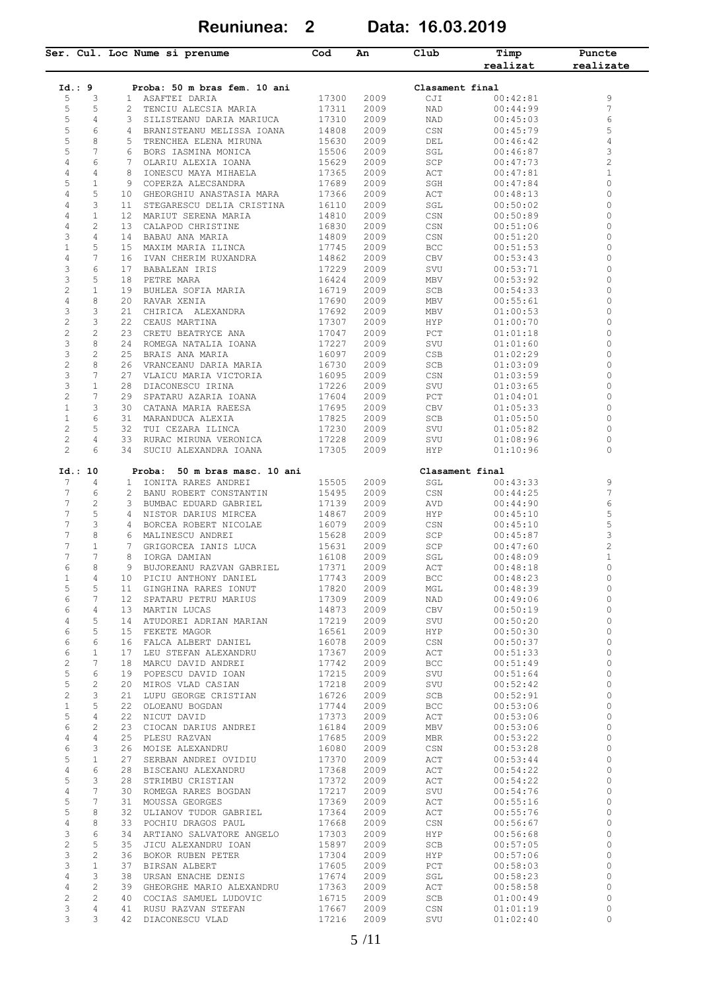**Reuniunea: 2 Data: 16.03.2019**

|                                |    | Ser. Cul. Loc Nume si prenume                                 | Cod   | An   | Club                      | Timp<br>realizat | Puncte<br>realizate |
|--------------------------------|----|---------------------------------------------------------------|-------|------|---------------------------|------------------|---------------------|
| Id.: 9                         |    | Proba: 50 m bras fem. 10 ani                                  |       |      | Clasament final           |                  |                     |
| 5<br>3                         |    | 1 ASAFTEI DARIA                                               | 17300 | 2009 | CJI                       | 00:42:81         | 9                   |
| 5<br>5                         |    | TENCIU ALECSIA MARIA<br>2                                     | 17311 | 2009 | NAD                       | 00:44:99         | 7                   |
| 5<br>4                         |    | 3 SILISTEANU DARIA MARIUCA                                    | 17310 | 2009 | NAD                       | 00:45:03         | 6                   |
| 5<br>6                         |    | 4 BRANISTEANU MELISSA IOANA                                   | 14808 | 2009 | CSN                       | 00:45:79         | 5                   |
| 5<br>8                         |    | TRENCHEA ELENA MIRUNA<br>5                                    | 15630 | 2009 | DEL                       | 00:46:42         | 4                   |
| 5<br>7                         |    | BORS IASMINA MONICA<br>6                                      | 15506 | 2009 | SGL                       | 00:46:87         | 3                   |
| $\overline{4}$<br>6            |    | OLARIU ALEXIA IOANA<br>7                                      | 15629 | 2009 | SCP                       | 00:47:73         | $\overline{c}$      |
| 4<br>4                         |    | 8<br>IONESCU MAYA MIHAELA                                     | 17365 | 2009 | ACT                       | 00:47:81         | $1\,$               |
| 5<br>1                         |    | 9<br>COPERZA ALECSANDRA                                       | 17689 | 2009 | SGH                       | 00:47:84         | 0                   |
| 4<br>5                         | 10 | GHEORGHIU ANASTASIA MARA                                      | 17366 | 2009 | ACT                       | 00:48:13         | 0                   |
| 4<br>3                         | 11 | STEGARESCU DELIA CRISTINA                                     | 16110 | 2009 | SGL                       | 00:50:02         | $\circ$             |
| 4<br>$\mathbf{1}$              |    | 12 MARIUT SERENA MARIA                                        | 14810 | 2009 | CSN                       | 00:50:89         | 0                   |
| 4<br>2                         | 13 | CALAPOD CHRISTINE                                             | 16830 | 2009 | CSN                       | 00:51:06         | $\circ$             |
| 3<br>4                         |    | 14 BABAU ANA MARIA                                            | 14809 | 2009 | CSN                       | 00:51:20         | 0                   |
| $\mathbf{1}$<br>5              | 15 | MAXIM MARIA ILINCA                                            | 17745 | 2009 | <b>BCC</b>                | 00:51:53         | $\circ$             |
| 4<br>7                         | 16 | IVAN CHERIM RUXANDRA                                          | 14862 | 2009 | CBV                       | 00:53:43         | 0                   |
| 3<br>6                         | 17 | BABALEAN IRIS                                                 | 17229 | 2009 | SVU                       | 00:53:71         | 0                   |
| 3<br>5                         |    | 18 PETRE MARA                                                 | 16424 | 2009 | MBV                       | 00:53:92         | 0                   |
| $\overline{c}$<br>$\mathbf{1}$ | 19 | BUHLEA SOFIA MARIA                                            | 16719 | 2009 | SCB                       | 00:54:33         | 0                   |
| 4<br>8                         |    | 20 RAVAR XENIA                                                | 17690 | 2009 | MBV                       | 00:55:61         | 0                   |
| 3<br>3                         | 21 | CHIRICA ALEXANDRA                                             | 17692 | 2009 | MBV                       | 01:00:53         | 0                   |
| $\overline{c}$<br>3            | 22 | CEAUS MARTINA                                                 | 17307 | 2009 | HYP                       | 01:00:70         | 0                   |
| $\sqrt{2}$<br>2                | 23 | CRETU BEATRYCE ANA                                            | 17047 | 2009 | PCT                       | 01:01:18         | 0                   |
| 3<br>8                         |    | 24 ROMEGA NATALIA IOANA                                       | 17227 | 2009 | SVU                       | 01:01:60         | 0                   |
| 3<br>2                         | 25 | BRAIS ANA MARIA                                               | 16097 | 2009 | CSB                       | 01:02:29         | 0                   |
| $\overline{c}$<br>8            |    | 26 VRANCEANU DARIA MARIA                                      | 16730 | 2009 | SCB                       | 01:03:09         | 0                   |
| 3<br>7                         | 27 | VLAICU MARIA VICTORIA                                         | 16095 | 2009 | CSN                       | 01:03:59         | 0                   |
| 3<br>$\mathbf{1}$              | 28 | DIACONESCU IRINA                                              | 17226 | 2009 | SVU                       | 01:03:65         | 0                   |
| $\mathbf{2}$<br>7              | 29 | SPATARU AZARIA IOANA                                          | 17604 | 2009 | PCT                       | 01:04:01         | 0                   |
| $\mathbf{1}$<br>3              |    | 30 CATANA MARIA RAEESA                                        | 17695 | 2009 | CBV                       | 01:05:33         | 0                   |
| $\mathbf{1}$<br>6              |    | 31 MARANDUCA ALEXIA                                           | 17825 | 2009 | SCB                       | 01:05:50         | 0                   |
| $\mathbf{2}$<br>5              | 32 | TUI CEZARA ILINCA                                             | 17230 | 2009 | SVU                       | 01:05:82         | 0                   |
| $\sqrt{2}$<br>4                | 33 | RURAC MIRUNA VERONICA                                         | 17228 | 2009 | SVU                       | 01:08:96         | 0                   |
| $\overline{c}$<br>6            |    | 34<br>SUCIU ALEXANDRA IOANA                                   | 17305 | 2009 | HYP                       | 01:10:96         | 0                   |
|                                |    |                                                               |       |      |                           |                  |                     |
| Id.: 10<br>7<br>4              |    | Proba: 50 m bras masc. 10 ani<br>IONITA RARES ANDREI<br>$1 -$ | 15505 | 2009 | Clasament final<br>SGL    | 00:43:33         | 9                   |
| 7<br>6                         |    | 2<br>BANU ROBERT CONSTANTIN                                   | 15495 | 2009 | $\mathbb{C}\,\mathsf{SN}$ | 00:44:25         | 7                   |
| $\overline{7}$<br>$\mathbf{2}$ |    | 3 BUMBAC EDUARD GABRIEL                                       | 17139 | 2009 | AVD                       | 00:44:90         | 6                   |
| $\overline{7}$<br>5            |    | 4 NISTOR DARIUS MIRCEA                                        | 14867 | 2009 | HYP                       | 00:45:10         | 5                   |
| 7<br>3                         |    | BORCEA ROBERT NICOLAE<br>4                                    | 16079 | 2009 | CSN                       | 00:45:10         | 5                   |
| $\overline{7}$<br>$\,8\,$      |    | MALINESCU ANDREI<br>6                                         | 15628 | 2009 | SCP                       | 00:45:87         | 3                   |
| 7<br>1                         |    | 7<br>GRIGORCEA IANIS LUCA                                     | 15631 | 2009 | SCP                       | 00:47:60         | $\overline{c}$      |
| 7<br>7                         |    | 8<br>IORGA DAMIAN                                             | 16108 | 2009 | SGL                       | 00:48:09         | $\mathbf{1}$        |
| 6<br>8                         |    | 9<br>BUJOREANU RAZVAN GABRIEL                                 | 17371 | 2009 | ACT                       | 00:48:18         | 0                   |
| 1<br>4                         |    | 10 PICIU ANTHONY DANIEL                                       | 17743 | 2009 | $_{\rm BCC}$              | 00:48:23         | $\circ$             |
| 5<br>5                         |    | 11 GINGHINA RARES IONUT                                       | 17820 | 2009 | MGL                       | 00:48:39         | 0                   |
| 6<br>7                         |    | 12 SPATARU PETRU MARIUS                                       | 17309 | 2009 | NAD                       | 00:49:06         | $\mathbb O$         |
| 6<br>4                         |    | 13 MARTIN LUCAS                                               | 14873 | 2009 | CBV                       | 00:50:19         | $\circ$             |
|                                |    |                                                               |       |      |                           | 00:50:20         | $\circ$             |
| 4<br>5                         |    | 14 ATUDOREI ADRIAN MARIAN                                     | 17219 | 2009 | SVU                       |                  |                     |
| 6<br>5                         |    | 15 FEKETE MAGOR                                               | 16561 | 2009 | HYP                       | 00:50:30         | 0                   |
| 6<br>6                         |    | 16 FALCA ALBERT DANIEL                                        | 16078 | 2009 | CSN                       | 00:50:37         | $\circ$             |
| 6<br>$\mathbf{1}$              |    | 17 LEU STEFAN ALEXANDRU                                       | 17367 | 2009 | ACT                       | 00:51:33         | 0                   |
| $\overline{\mathbf{c}}$<br>7   |    | 18 MARCU DAVID ANDREI                                         | 17742 | 2009 | <b>BCC</b>                | 00:51:49         | $\circ$             |
| 5<br>6                         |    | 19 POPESCU DAVID IOAN                                         | 17215 | 2009 | SVU                       | 00:51:64         | 0                   |
| 5<br>$\mathbf{2}$              | 20 | MIROS VLAD CASIAN                                             | 17218 | 2009 | SVU                       | 00:52:42         | $\circ$             |
| $\overline{c}$<br>3            |    | 21 LUPU GEORGE CRISTIAN                                       | 16726 | 2009 | SCB                       | 00:52:91         | $\circ$             |
| $\mathbf{1}$<br>5              | 22 | OLOEANU BOGDAN                                                | 17744 | 2009 | <b>BCC</b>                | 00:53:06         | $\circ$             |
| 5<br>4                         |    | 22 NICUT DAVID                                                | 17373 | 2009 | ACT                       | 00:53:06         | $\circ$             |
| 6<br>2                         | 23 | CIOCAN DARIUS ANDREI                                          | 16184 | 2009 | MBV                       | 00:53:06         | $\circ$             |
| 4<br>4                         |    | 25 PLESU RAZVAN                                               | 17685 | 2009 | MBR                       | 00:53:22         | $\circ$             |
| 6<br>3                         |    | 26 MOISE ALEXANDRU                                            | 16080 | 2009 | CSN                       | 00:53:28         | $\circ$             |
| 5<br>$\mathbf{1}$              | 27 | SERBAN ANDREI OVIDIU                                          | 17370 | 2009 | ACT                       | 00:53:44         | 0                   |
| 4<br>6                         |    | 28 BISCEANU ALEXANDRU                                         | 17368 | 2009 | $\mathtt{ACT}$            | 00:54:22         | $\circ$             |
| 5<br>3                         |    | 28 STRIMBU CRISTIAN                                           | 17372 | 2009 | ACT                       | 00:54:22         | $\circ$             |
| 4<br>7                         | 30 | ROMEGA RARES BOGDAN                                           | 17217 | 2009 | SVU                       | 00:54:76         | $\circ$             |
| 5<br>7                         |    | 31 MOUSSA GEORGES                                             | 17369 | 2009 | ACT                       | 00:55:16         | 0                   |
| 5<br>8                         | 32 | ULIANOV TUDOR GABRIEL                                         | 17364 | 2009 | ACT                       | 00:55:76         | $\mathbb O$         |
| 4<br>8                         |    | 33 POCHIU DRAGOS PAUL                                         | 17668 | 2009 | CSN                       | 00:56:67         | $\circ$             |
| 3<br>6                         |    | 34 ARTIANO SALVATORE ANGELO                                   | 17303 | 2009 | HYP                       | 00:56:68         | $\circ$             |
| $\overline{c}$<br>5            |    | 35 JICU ALEXANDRU IOAN                                        | 15897 | 2009 | SCB                       | 00:57:05         | $\circ$             |
| 3<br>2                         |    | 36 BOKOR RUBEN PETER                                          | 17304 | 2009 | HYP                       | 00:57:06         | $\circ$             |
| 3<br>$\mathbf{1}$              |    | 37 BIRSAN ALBERT                                              | 17605 | 2009 | PCT                       | 00:58:03         | $\mathbb O$         |
| 4<br>3                         |    | 38<br>URSAN ENACHE DENIS                                      | 17674 | 2009 | SGL                       | 00:58:23         | $\circ$             |
| $\overline{4}$<br>$\mathbf{2}$ |    | 39 GHEORGHE MARIO ALEXANDRU                                   | 17363 | 2009 | ACT                       | 00:58:58         | $\circ$             |
| $\overline{\mathbf{c}}$<br>2   |    | 40 COCIAS SAMUEL LUDOVIC                                      | 16715 | 2009 | SCB                       | 01:00:49         | $\circ$             |
| 3<br>4                         |    | 41 RUSU RAZVAN STEFAN                                         | 17667 | 2009 | CSN                       | 01:01:19         | 0                   |
| 3<br>3                         |    | 42 DIACONESCU VLAD                                            | 17216 | 2009 | SVU                       | 01:02:40         | 0                   |
|                                |    |                                                               |       |      |                           |                  |                     |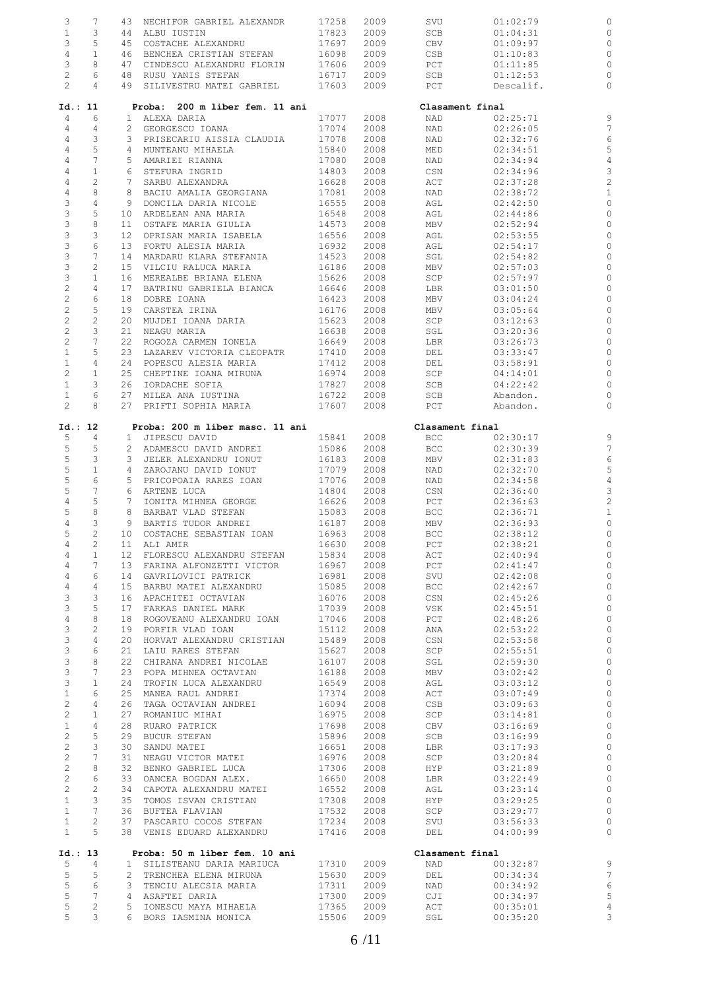| 3                         | 7                          |                 | 43 NECHIFOR GABRIEL ALEXANDR                    | 17258          | 2009         | SVU             | 01:02:79             |                     |
|---------------------------|----------------------------|-----------------|-------------------------------------------------|----------------|--------------|-----------------|----------------------|---------------------|
| $\mathbf{1}$              | 3                          |                 | 44 ALBU IUSTIN                                  | 17823          | 2009         | SCB             | 01:04:31             | C                   |
| 3                         | 5                          | 45              | COSTACHE ALEXANDRU                              | 17697          | 2009         | CBV             | 01:09:97             | C                   |
| $\overline{4}$            | $\mathbf{1}$               |                 | 46 BENCHEA CRISTIAN STEFAN                      | 16098          | 2009         | CSB             | 01:10:83             | C                   |
|                           |                            |                 |                                                 |                |              |                 |                      |                     |
| 3                         | 8                          | 47              | CINDESCU ALEXANDRU FLORIN                       | 17606          | 2009         | PCT             | 01:11:85             | C                   |
| $\mathbf{2}$              | 6                          |                 | 48 RUSU YANIS STEFAN                            | 16717          | 2009         | SCB             | 01:12:53             | C                   |
| $\mathbf{2}^{\prime}$     | $\overline{4}$             | 49              | SILIVESTRU MATEI GABRIEL                        | 17603          | 2009         | PCT             | Descalif.            | $\circ$             |
|                           |                            |                 |                                                 |                |              |                 |                      |                     |
| Id.: 11                   |                            |                 | Proba: 200 m liber fem. 11 ani                  |                |              | Clasament final |                      |                     |
| 4                         | 6                          |                 | 1 ALEXA DARIA                                   | 17077          | 2008         | NAD             | 02:25:71             | S                   |
| $\overline{4}$            | 4                          |                 | 2 GEORGESCU IOANA                               | 17074          | 2008         | NAD             | 02:26:05             | 7                   |
| 4                         | 3                          |                 | 3 PRISECARIU AISSIA CLAUDIA                     | 17078          | 2008         | NAD             | 02:32:76             | $\epsilon$          |
|                           | 5                          |                 |                                                 |                |              |                 |                      |                     |
| 4                         |                            |                 | 4 MUNTEANU MIHAELA                              | 15840          | 2008         | MED             | 02:34:51             | 5                   |
| $\sqrt{4}$                | 7                          |                 | 5 AMARIEI RIANNA                                | 17080          | 2008         | NAD             | 02:34:94             | $\overline{4}$      |
| $\overline{4}$            | $\mathbf{1}$               |                 | 6 STEFURA INGRID                                | 14803          | 2008         | CSN             | 02:34:96             | 3                   |
| $\sqrt{4}$                | 2                          |                 | 7 SARBU ALEXANDRA                               | 16628          | 2008         | ACT             | 02:37:28             | $\overline{c}$      |
| $\sqrt{4}$                | 8                          | 8               | BACIU AMALIA GEORGIANA                          | 17081          | 2008         | NAD             | 02:38:72             | $\mathbf{1}$        |
| 3                         | $\overline{4}$             |                 | 9 DONCILA DARIA NICOLE                          | 16555          | 2008         | AGL             | 02:42:50             | C                   |
| $\ensuremath{\mathsf{3}}$ | 5                          | 10              | ARDELEAN ANA MARIA                              | 16548          | 2008         | AGL             | 02:44:86             | C                   |
| $\mathsf 3$               | 8                          |                 | 11 OSTAFE MARIA GIULIA                          | 14573          | 2008         | MBV             | 02:52:94             | C                   |
|                           |                            |                 |                                                 |                |              |                 |                      |                     |
| $\ensuremath{\mathsf{3}}$ | 3                          | 12              | OPRISAN MARIA ISABELA                           | 16556          | 2008         | AGL             | 02:53:55             | C                   |
| $\ensuremath{\mathsf{3}}$ | 6                          |                 | 13 FORTU ALESIA MARIA                           | 16932          | 2008         | AGL             | 02:54:17             | C                   |
| 3                         | 7                          | 14              | MARDARU KLARA STEFANIA                          | 14523          | 2008         | SGL             | 02:54:82             | C                   |
| $\ensuremath{\mathsf{3}}$ | 2                          | 15              | VILCIU RALUCA MARIA                             | 16186          | 2008         | MBV             | 02:57:03             | C                   |
| $\ensuremath{\mathsf{3}}$ | $\mathbf{1}$               | 16              | MEREALBE BRIANA ELENA                           | 15626          | 2008         | SCP             | 02:57:97             | C                   |
| $\sqrt{2}$                | $\overline{4}$             | 17              | BATRINU GABRIELA BIANCA                         | 16646          | 2008         | LBR             | 03:01:50             | C                   |
| $\sqrt{2}$                | 6                          | 18              | DOBRE IOANA                                     | 16423          | 2008         | MBV             | 03:04:24             | C                   |
|                           |                            |                 |                                                 |                |              |                 |                      |                     |
| $\sqrt{2}$                | 5                          | 19              | CARSTEA IRINA                                   | 16176          | 2008         | MBV             | 03:05:64             | C                   |
| $\overline{c}$            | $\mathbf{2}$               | 20              | MUJDEI IOANA DARIA                              | 15623          | 2008         | SCP             | 03:12:63             | C                   |
| $\overline{c}$            | 3                          | 21              | NEAGU MARIA                                     | 16638          | 2008         | SGL             | 03:20:36             | C                   |
| $\overline{c}$            | 7                          | 22              | ROGOZA CARMEN IONELA                            | 16649          | 2008         | LBR             | 03:26:73             | C                   |
| $1\,$                     | 5                          |                 | 23 LAZAREV VICTORIA CLEOPATR                    | 17410          | 2008         | DEL             | 03:33:47             | C                   |
| $\mathbf{1}$              | 4                          |                 | 24 POPESCU ALESIA MARIA                         | 17412          | 2008         | DEL             | 03:58:91             | C                   |
| $\mathbf{2}$              | $\mathbf{1}$               |                 | 25 CHEPTINE IOANA MIRUNA                        | 16974          | 2008         | SCP             | 04:14:01             | $\circ$             |
|                           |                            |                 |                                                 |                |              |                 |                      |                     |
| $\mathbf{1}$              | 3                          | 26              | IORDACHE SOFIA                                  | 17827          | 2008         | SCB             | 04:22:42             | C                   |
| $\mathbf{1}$              | 6                          |                 | 27 MILEA ANA IUSTINA                            | 16722          | 2008         | SCB             | Abandon.             | C                   |
| $\mathbf{2}$              | 8                          |                 | 27 PRIFTI SOPHIA MARIA                          | 17607          | 2008         | PCT             | Abandon.             | $\circ$             |
|                           |                            |                 |                                                 |                |              |                 |                      |                     |
| Id.: 12                   |                            |                 | Proba: 200 m liber masc. 11 ani                 |                |              | Clasament final |                      |                     |
| 5                         | 4                          |                 | 1 JIPESCU DAVID                                 | 15841          | 2008         | <b>BCC</b>      | 02:30:17             | S                   |
| 5                         | 5                          |                 | 2 ADAMESCU DAVID ANDREI                         | 15086          | 2008         | BCC             | 02:30:39             | $\overline{7}$      |
| 5                         | 3                          |                 | 3 JELER ALEXANDRU IONUT                         | 16183          | 2008         | MBV             | 02:31:83             | $\epsilon$          |
| 5                         | $\mathbf{1}$               |                 | 4 ZAROJANU DAVID IONUT                          | 17079          | 2008         | NAD             | 02:32:70             | 5                   |
| $\mathbb S$               | $\epsilon$                 |                 | 5 PRICOPOAIA RARES IOAN                         | 17076          | 2008         | NAD             | 02:34:58             | $\overline{4}$      |
| 5                         | 7                          |                 | 6 ARTENE LUCA                                   | 14804          | 2008         | CSN             | 02:36:40             | $\beta$             |
| $\sqrt{4}$                | 5                          | $7\phantom{.0}$ | IONITA MIHNEA GEORGE                            | 16626          | 2008         | PCT             | 02:36:63             | $\overline{c}$      |
|                           |                            |                 |                                                 |                |              |                 |                      |                     |
| 5                         | 8                          |                 | 8 BARBAT VLAD STEFAN                            | 15083          | 2008         | <b>BCC</b>      | 02:36:71             | $\mathbf{1}$        |
| $\overline{4}$            | 3                          |                 | 9 BARTIS TUDOR ANDREI                           | 16187          | 2008         | MBV             | 02:36:93             | C                   |
| 5                         | $\mathbf{2}$               |                 | 10 COSTACHE SEBASTIAN IOAN                      | 16963          | 2008         | BCC             | 02:38:12             | $\circ$             |
| 4                         | 2                          |                 | 11 ALI AMIR                                     | 16630          | 2008         | PCT             | 02:38:21             | $\mathbf C$         |
| 4                         | 1                          |                 | 12 FLORESCU ALEXANDRU STEFAN                    | 15834          | 2008         | ACT             | 02:40:94             | C                   |
| $\overline{4}$            | $7\overline{ }$            |                 | 13 FARINA ALFONZETTI VICTOR                     | 16967          | 2008         | PCT             | 02:41:47             | C                   |
| 4                         | 6                          |                 | 14 GAVRILOVICI PATRICK                          | 16981          | 2008         | SVU             | 02:42:08             | $\circ$             |
| $\overline{4}$            | 4                          | 15              | BARBU MATEI ALEXANDRU                           | 15085          | 2008         | <b>BCC</b>      | 02:42:67             | $\circ$             |
|                           |                            |                 |                                                 |                |              |                 | 02:45:26             |                     |
| 3                         | 3                          |                 | 16 APACHITEI OCTAVIAN                           | 16076          | 2008         | CSN             |                      | $\circ$             |
| $\mathsf 3$               | 5                          | 17              | FARKAS DANIEL MARK                              | 17039          | 2008         | <b>VSK</b>      | 02:45:51             | $\circ$             |
| $\overline{4}$            | 8                          | 18              | ROGOVEANU ALEXANDRU IOAN                        | 17046          | 2008         | PCT             | 02:48:26             | $\circ$             |
| 3                         | $\mathbf{2}$               | 19              | PORFIR VLAD IOAN                                | 15112          | 2008         | ANA             | 02:53:22             | $\mathbb C$         |
| 3                         | 4                          | 20              | HORVAT ALEXANDRU CRISTIAN                       | 15489          | 2008         | CSN             | 02:53:58             | $\circ$             |
| 3                         | 6                          | 21              | LAIU RARES STEFAN                               | 15627          | 2008         | SCP             | 02:55:51             | $\circ$             |
| $\mathsf 3$               | 8                          | 22              | CHIRANA ANDREI NICOLAE                          | 16107          | 2008         | SGL             | 02:59:30             | $\circ$             |
| $\mathfrak{Z}$            | $7\phantom{.0}$            |                 |                                                 |                |              |                 |                      |                     |
|                           |                            | 23              | POPA MIHNEA OCTAVIAN                            | 16188          | 2008         | MBV             | 03:02:42             | $\circ$             |
| $\mathfrak{Z}$            | $\mathbf{1}$               | 24              | TROFIN LUCA ALEXANDRU                           | 16549          | 2008         | AGL             | 03:03:12             | $\mathbb C$         |
| $\mathbf{1}$              | 6                          | 25              | MANEA RAUL ANDREI                               | 17374          | 2008         | ACT             | 03:07:49             | $\circ$             |
| $\sqrt{2}$                | 4                          | 26              | TAGA OCTAVIAN ANDREI                            | 16094          | 2008         | CSB             | 03:09:63             | $\circ$             |
| $\overline{c}$            | $\mathbf{1}$               | 27              | ROMANIUC MIHAI                                  | 16975          | 2008         | SCP             | 03:14:81             | $\mathbb C$         |
| $\mathbf{1}$              | 4                          | 28              | RUARO PATRICK                                   | 17698          | 2008         | CBV             | 03:16:69             | $\mathbb C$         |
| $\overline{c}$            | 5                          | 29              | BUCUR STEFAN                                    | 15896          | 2008         | SCB             | 03:16:99             | $\circ$             |
| $\sqrt{2}$                | 3                          | 30              | SANDU MATEI                                     | 16651          | 2008         | LBR             | 03:17:93             | $\mathbb C$         |
|                           |                            |                 |                                                 |                |              |                 |                      |                     |
| $\overline{c}$            | 7                          | 31              | NEAGU VICTOR MATEI                              | 16976          | 2008         | SCP             | 03:20:84             | $\mathbb C$         |
| $\overline{c}$            | 8                          | 32              | BENKO GABRIEL LUCA                              | 17306          | 2008         | HYP             | 03:21:89             | $\mathbb C$         |
| $\overline{c}$            | 6                          | 33              | OANCEA BOGDAN ALEX.                             | 16650          | 2008         | LBR             | 03:22:49             | $\mathbb C$         |
| $\mathbf{2}$              | $\overline{c}$             |                 | 34 CAPOTA ALEXANDRU MATEI                       | 16552          | 2008         | AGL             | 03:23:14             | $\mathbb C$         |
| $\mathbf{1}$              | 3                          | 35              | TOMOS ISVAN CRISTIAN                            | 17308          | 2008         | HYP             | 03:29:25             | $\mathbb C$         |
| $\mathbf{1}$              | $7\phantom{.0}$            |                 | 36 BUFTEA FLAVIAN                               | 17532          | 2008         | SCP             | 03:29:77             | $\circ$             |
|                           | $\mathbf{2}^{\prime}$      |                 |                                                 |                |              |                 |                      |                     |
| $\mathbf{1}$              |                            | 37              | PASCARIU COCOS STEFAN                           | 17234          | 2008         | SVU             | 03:56:33             | $\circ$             |
| $\mathbf{1}$              | 5                          |                 | 38 VENIS EDUARD ALEXANDRU                       | 17416          | 2008         | DEL             | 04:00:99             | $\mathbb C$         |
| Id.: 13                   |                            |                 | Proba: 50 m liber fem. 10 ani                   |                |              | Clasament final |                      |                     |
| 5                         | 4                          |                 | 1 SILISTEANU DARIA MARIUCA                      | 17310          | 2009         | NAD             | 00:32:87             | g                   |
| 5                         | 5                          |                 | 2 TRENCHEA ELENA MIRUNA                         | 15630          | 2009         | DEL             | 00:34:34             | $\overline{7}$      |
|                           |                            | 3               | TENCIU ALECSIA MARIA                            | 17311          |              |                 |                      |                     |
| 5                         |                            |                 |                                                 |                | 2009         | NAD             | 00:34:92             | $\epsilon$          |
|                           | 6                          |                 |                                                 |                |              |                 |                      |                     |
| 5                         | 7                          |                 | 4 ASAFTEI DARIA                                 | 17300          | 2009         | CJI             | 00:34:97             | 5                   |
| 5<br>5                    | $\mathbf{2}^{\prime}$<br>3 |                 | 5 IONESCU MAYA MIHAELA<br>6 BORS IASMINA MONICA | 17365<br>15506 | 2009<br>2009 | ACT<br>SGL      | 00:35:01<br>00:35:20 | $\overline{4}$<br>3 |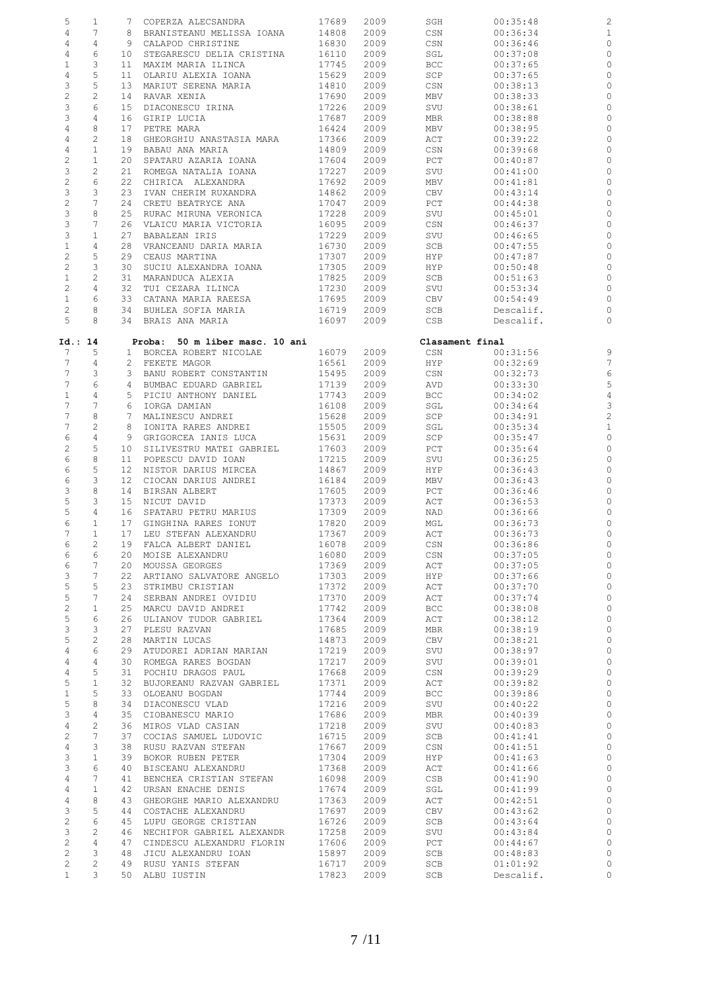| 5                         | $\mathbf{1}$          | 7               | COPERZA ALECSANDRA             | 17689 | 2009 | SGH             | 00:35:48  |                |
|---------------------------|-----------------------|-----------------|--------------------------------|-------|------|-----------------|-----------|----------------|
| $\sqrt{4}$                | 7                     | 8               | BRANISTEANU MELISSA IOANA      | 14808 | 2009 | CSN             | 00:36:34  |                |
| $\overline{4}$            | 4                     | 9               | CALAPOD CHRISTINE              | 16830 | 2009 | CSN             | 00:36:46  | C              |
| $\overline{4}$            | 6                     | 10              | STEGARESCU DELIA CRISTINA      | 16110 | 2009 | SGL             | 00:37:08  | C              |
| $\mathbf{1}$              | 3                     | 11              | MAXIM MARIA ILINCA             | 17745 | 2009 | BCC             | 00:37:65  | C              |
| $\overline{4}$            | 5                     | 11              | OLARIU ALEXIA IOANA            | 15629 | 2009 | SCP             | 00:37:65  | C              |
| 3                         | 5                     | 13              | MARIUT SERENA MARIA            | 14810 | 2009 | CSN             | 00:38:13  | C              |
| $\overline{c}$            | $\mathbf{2}$          | 14              | RAVAR XENIA                    | 17690 | 2009 | MBV             | 00:38:33  | C              |
|                           | 6                     |                 |                                |       |      |                 |           |                |
| $\ensuremath{\mathsf{3}}$ |                       | 15              | DIACONESCU IRINA               | 17226 | 2009 | SVU             | 00:38:61  |                |
| 3                         | 4                     | 16              | GIRIP LUCIA                    | 17687 | 2009 | MBR             | 00:38:88  | C              |
| $\overline{4}$            | 8                     | 17              | PETRE MARA                     | 16424 | 2009 | MBV             | 00:38:95  | C              |
| $\overline{4}$            | 2                     | 18              | GHEORGHIU ANASTASIA MARA       | 17366 | 2009 | ACT             | 00:39:22  | C              |
| $\overline{4}$            | $\mathbf{1}$          | 19              | BABAU ANA MARIA                | 14809 | 2009 | CSN             | 00:39:68  | C              |
| $\sqrt{2}$                | $\mathbf{1}$          | 20              | SPATARU AZARIA IOANA           | 17604 | 2009 | PCT             | 00:40:87  | C              |
| 3                         | 2                     | 21              | ROMEGA NATALIA IOANA           | 17227 | 2009 | SVU             | 00:41:00  | C              |
| $\sqrt{2}$                | 6                     | 22              | CHIRICA ALEXANDRA              | 17692 | 2009 | MBV             | 00:41:81  | C              |
| 3                         | 3                     | 23              | IVAN CHERIM RUXANDRA           | 14862 | 2009 | CBV             | 00:43:14  |                |
| $\sqrt{2}$                | 7                     | 24              | CRETU BEATRYCE ANA             | 17047 | 2009 | PCT             | 00:44:38  | C              |
| 3                         | 8                     | 25              | RURAC MIRUNA VERONICA          | 17228 | 2009 | SVU             | 00:45:01  | C              |
| $\ensuremath{\mathsf{3}}$ | 7                     | 26              | VLAICU MARIA VICTORIA          | 16095 | 2009 | CSN             | 00:46:37  | C              |
| 3                         | $\mathbf 1$           | 27              | <b>BABALEAN IRIS</b>           | 17229 | 2009 | SVU             | 00:46:65  |                |
| $\,1$                     | 4                     | 28              | VRANCEANU DARIA MARIA          | 16730 | 2009 | SCB             | 00:47:55  | C              |
| $\sqrt{2}$                | 5                     | 29              | CEAUS MARTINA                  | 17307 | 2009 | HYP             | 00:47:87  | C              |
| $\sqrt{2}$                | 3                     | 30              | SUCIU ALEXANDRA IOANA          | 17305 | 2009 | HYP             | 00:50:48  | C              |
|                           |                       |                 |                                |       |      |                 |           |                |
| $\mathbf{1}$              | 2                     | 31              | MARANDUCA ALEXIA               | 17825 | 2009 | SCB             | 00:51:63  | C              |
| $\mathbf{2}$              | 4                     | 32              | TUI CEZARA ILINCA              | 17230 | 2009 | SVU             | 00:53:34  | C              |
| $\mathbf{1}$              | 6                     | 33              | CATANA MARIA RAEESA            | 17695 | 2009 | CBV             | 00:54:49  |                |
| $\sqrt{2}$                | 8                     | 34              | BUHLEA SOFIA MARIA             | 16719 | 2009 | SCB             | Descalif. | C              |
| 5                         | 8                     |                 | 34 BRAIS ANA MARIA             | 16097 | 2009 | CSB             | Descalif. | C              |
|                           |                       |                 |                                |       |      |                 |           |                |
| Id.: 14                   |                       |                 | Proba: 50 m liber masc. 10 ani |       |      | Clasament final |           |                |
| 7                         | 5                     |                 | 1 BORCEA ROBERT NICOLAE        | 16079 | 2009 | CSN             | 00:31:56  |                |
| $7\phantom{.0}$           | 4                     |                 | 2 FEKETE MAGOR                 | 16561 | 2009 | HYP             | 00:32:69  | 7              |
| 7                         | 3                     |                 | 3 BANU ROBERT CONSTANTIN       | 15495 | 2009 | CSN             | 00:32:73  | $\epsilon$     |
| $\boldsymbol{7}$          | 6                     | 4               | BUMBAC EDUARD GABRIEL          | 17139 | 2009 | AVD             | 00:33:30  | 5              |
| $\mathbf{1}$              | $\overline{4}$        | 5               | PICIU ANTHONY DANIEL           | 17743 | 2009 | BCC             | 00:34:02  | 4              |
| 7                         | 7                     | 6               | IORGA DAMIAN                   | 16108 | 2009 | SGL             | 00:34:64  | 3              |
| $\overline{7}$            | 8                     | 7               | MALINESCU ANDREI               | 15628 | 2009 | SCP             | 00:34:91  | $\overline{c}$ |
| $\boldsymbol{7}$          | 2                     | 8               | IONITA RARES ANDREI            | 15505 | 2009 | SGL             | 00:35:34  | $\mathbf{1}$   |
| 6                         | 4                     | 9               | GRIGORCEA IANIS LUCA           | 15631 | 2009 | SCP             | 00:35:47  | C              |
| $\mathbf{2}$              | 5                     | 10              | SILIVESTRU MATEI GABRIEL       | 17603 | 2009 | PCT             | 00:35:64  | C              |
| $\epsilon$                | 8                     | 11              | POPESCU DAVID IOAN             | 17215 | 2009 | SVU             | 00:36:25  | C              |
| 6                         | 5                     | 12 <sub>1</sub> | NISTOR DARIUS MIRCEA           | 14867 | 2009 | HYP             | 00:36:43  | C              |
| 6                         | 3                     | 12 <sup>°</sup> | CIOCAN DARIUS ANDREI           | 16184 | 2009 | MBV             | 00:36:43  | C              |
| 3                         | 8                     | 14              | BIRSAN ALBERT                  | 17605 | 2009 | PCT             | 00:36:46  | C              |
| 5                         | 3                     | 15              | NICUT DAVID                    | 17373 | 2009 | ACT             | 00:36:53  | C              |
| 5                         | 4                     | 16              | SPATARU PETRU MARIUS           | 17309 | 2009 | NAD             | 00:36:66  | C              |
| 6                         | $\mathbf{1}$          | 17              | GINGHINA RARES IONUT           | 17820 | 2009 | MGL             | 00:36:73  | C              |
| 7                         | $\mathbf{1}$          | 17              | LEU STEFAN ALEXANDRU           | 17367 | 2009 | ACT             | 00:36:73  | $\circ$        |
|                           |                       |                 |                                |       |      |                 |           |                |
| 6                         | 2<br>6                | 19              | FALCA ALBERT DANIEL            | 16078 | 2009 | CSN             | 00:36:86  | C              |
| 6                         |                       | 20              | MOISE ALEXANDRU                | 16080 | 2009 | CSN             | 00:37:05  |                |
| 6                         | 7                     | 20              | MOUSSA GEORGES                 | 17369 | 2009 | ACT             | 00:37:05  | $\circ$        |
| $\mathsf 3$               | 7                     | 22              | ARTIANO SALVATORE ANGELO       | 17303 | 2009 | HYP             | 00:37:66  | $\circ$        |
| 5                         | 5                     | 23              | STRIMBU CRISTIAN               | 17372 | 2009 | ACT             | 00:37:70  | $\circ$        |
| $\mathsf S$               | 7                     | 24              | SERBAN ANDREI OVIDIU           | 17370 | 2009 | ACT             | 00:37:74  | $\mathbb C$    |
| $\overline{c}$            | $\mathbf{1}$          | 25              | MARCU DAVID ANDREI             | 17742 | 2009 | BCC             | 00:38:08  | $\circ$        |
| $\overline{5}$            | 6                     | 26              | ULIANOV TUDOR GABRIEL          | 17364 | 2009 | ACT             | 00:38:12  | $\circ$        |
| 3                         | 3                     | 27              | PLESU RAZVAN                   | 17685 | 2009 | MBR             | 00:38:19  | $\mathbb C$    |
| 5                         | $\overline{c}$        | 28              | MARTIN LUCAS                   | 14873 | 2009 | CBV             | 00:38:21  | $\mathbb C$    |
| $\overline{4}$            | 6                     | 29              | ATUDOREI ADRIAN MARIAN         | 17219 | 2009 | SVU             | 00:38:97  | $\mathbb C$    |
| $\overline{4}$            | 4                     | 30              | ROMEGA RARES BOGDAN            | 17217 | 2009 | SVU             | 00:39:01  | $\mathbb C$    |
| $\overline{4}$            | 5                     | 31              | POCHIU DRAGOS PAUL             | 17668 | 2009 | CSN             | 00:39:29  | $\mathbb C$    |
| 5                         | $\mathbf{1}$          | 32              | BUJOREANU RAZVAN GABRIEL       | 17371 | 2009 | ACT             | 00:39:82  | $\mathbb C$    |
| $\mathbf{1}$              | 5                     | 33              | OLOEANU BOGDAN                 | 17744 | 2009 | BCC             | 00:39:86  | $\mathbb C$    |
| 5                         | 8                     | 34              | DIACONESCU VLAD                | 17216 | 2009 | SVU             | 00:40:22  | $\mathbb C$    |
| $\mathfrak{Z}$            | 4                     | 35              | CIOBANESCU MARIO               | 17686 | 2009 | MBR             | 00:40:39  | $\mathbb C$    |
| $\overline{4}$            | $\mathbf{2}$          | 36              | MIROS VLAD CASIAN              | 17218 | 2009 | SVU             | 00:40:83  | $\mathbb C$    |
| $\overline{c}$            | 7                     | 37              | COCIAS SAMUEL LUDOVIC          | 16715 | 2009 | SCB             | 00:41:41  | $\mathbb C$    |
| $\overline{4}$            | 3                     | 38              | RUSU RAZVAN STEFAN             | 17667 | 2009 | CSN             | 00:41:51  | $\circ$        |
| $\mathfrak{Z}$            | $\mathbf{1}$          | 39              | BOKOR RUBEN PETER              | 17304 | 2009 | HYP             | 00:41:63  | $\circ$        |
| $\mathfrak{Z}$            | 6                     | 40              | BISCEANU ALEXANDRU             | 17368 | 2009 | ACT             | 00:41:66  | $\circ$        |
|                           | 7                     |                 |                                |       |      |                 |           |                |
| $\overline{4}$            |                       | 41              | BENCHEA CRISTIAN STEFAN        | 16098 | 2009 | CSB             | 00:41:90  | $\mathbb C$    |
| $\overline{4}$            | $\mathbf{1}$          | 42              | URSAN ENACHE DENIS             | 17674 | 2009 | SGL             | 00:41:99  | $\mathbb C$    |
| $\overline{4}$            | 8                     | 43              | GHEORGHE MARIO ALEXANDRU       | 17363 | 2009 | ACT             | 00:42:51  | $\mathbb C$    |
| $\mathfrak{Z}$            | 5                     | 44              | COSTACHE ALEXANDRU             | 17697 | 2009 | CBV             | 00:43:62  | $\mathbb C$    |
| $\overline{c}$            | 6                     | 45              | LUPU GEORGE CRISTIAN           | 16726 | 2009 | SCB             | 00:43:64  | $\mathbb C$    |
| $\mathcal{E}$             | $\mathbf{2}$          | 46              | NECHIFOR GABRIEL ALEXANDR      | 17258 | 2009 | SVU             | 00:43:84  | $\mathbb C$    |
| $\overline{c}$            | $\overline{4}$        | 47              | CINDESCU ALEXANDRU FLORIN      | 17606 | 2009 | PCT             | 00:44:67  | $\circ$        |
| $\mathbf{2}$              | $\mathfrak{Z}$        | 48              | JICU ALEXANDRU IOAN            | 15897 | 2009 | SCB             | 00:48:83  | $\circ$        |
| $\overline{c}$            | $\mathbf{2}^{\prime}$ | 49              | RUSU YANIS STEFAN              | 16717 | 2009 | SCB             | 01:01:92  | $\circ$        |
| $\mathbf{1}$              | 3                     |                 | 50 ALBU IUSTIN                 | 17823 | 2009 | SCB             | Descalif. | $\circ$        |
|                           |                       |                 |                                |       |      |                 |           |                |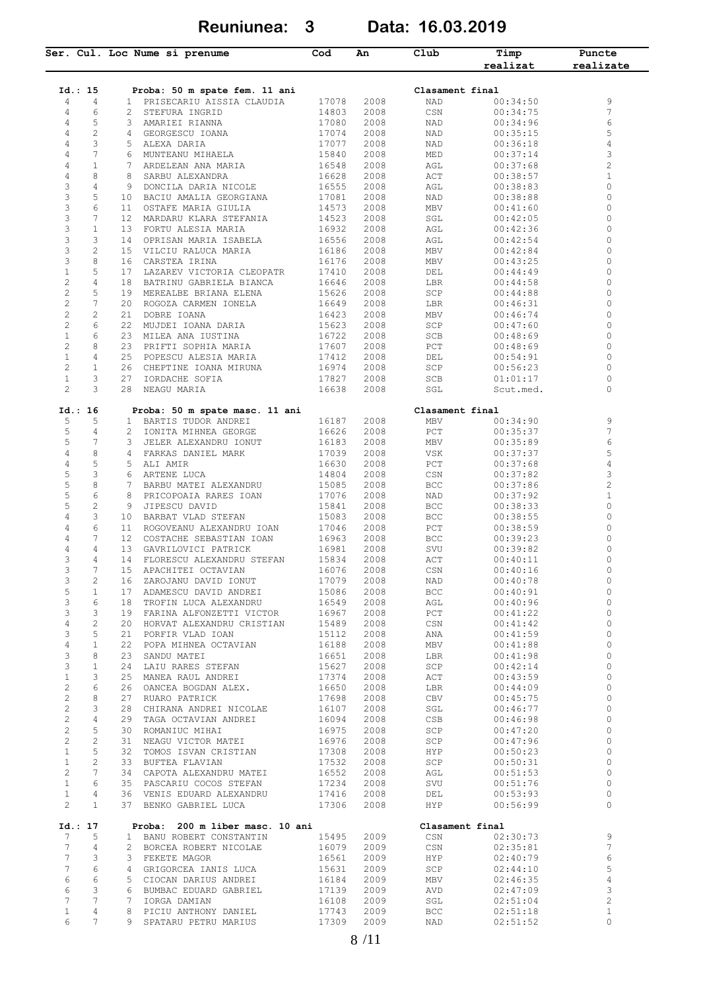**Reuniunea: 3 Data: 16.03.2019**

|                                |                       | Ser. Cul. Loc Nume si prenume                         | Cod            | An           | Club              | Timp<br>realizat     | Puncte<br>realizate |
|--------------------------------|-----------------------|-------------------------------------------------------|----------------|--------------|-------------------|----------------------|---------------------|
|                                |                       |                                                       |                |              |                   |                      |                     |
| Id.: 15                        |                       | Proba: 50 m spate fem. 11 ani                         |                |              | Clasament final   |                      |                     |
| 4                              | 4                     | 1 PRISECARIU AISSIA CLAUDIA                           | 17078          | 2008         | NAD               | 00:34:50             | 9<br>$\overline{7}$ |
| 4                              | 6                     | 2 STEFURA INGRID                                      | 14803          | 2008         | CSN               | 00:34:75             |                     |
| 4                              | 5                     | 3<br>AMARIEI RIANNA                                   | 17080          | 2008         | NAD               | 00:34:96             | 6                   |
| 4                              | $\overline{c}$        | 4 GEORGESCU IOANA                                     | 17074          | 2008         | NAD               | 00:35:15             | 5                   |
| 4                              | 3                     | 5.<br>ALEXA DARIA                                     | 17077          | 2008         | NAD               | 00:36:18             | 4                   |
| 4                              | 7                     | MUNTEANU MIHAELA<br>6                                 | 15840          | 2008         | MED               | 00:37:14             | 3                   |
| 4                              | $\mathbf{1}$          | 7<br>ARDELEAN ANA MARIA                               | 16548          | 2008         | AGL               | 00:37:68             | $\overline{c}$      |
| $\overline{4}$                 | 8                     | 8<br>SARBU ALEXANDRA                                  | 16628          | 2008         | ACT               | 00:38:57             | $\mathbf 1$         |
| 3                              | 4                     | 9 DONCILA DARIA NICOLE                                | 16555          | 2008         | AGL               | 00:38:83             | 0                   |
| 3                              | 5                     | 10 BACIU AMALIA GEORGIANA                             | 17081          | 2008         | NAD               | 00:38:88             | 0                   |
| 3                              | 6                     | 11 OSTAFE MARIA GIULIA                                | 14573          | 2008         | MBV               | 00:41:60             | 0                   |
| 3                              | 7                     | MARDARU KLARA STEFANIA<br>12                          | 14523          | 2008         | SGL               | 00:42:05             | 0                   |
| 3                              | $\mathbf{1}$          | 13<br>FORTU ALESIA MARIA                              | 16932          | 2008         | AGL               | 00:42:36             | 0                   |
| 3                              | 3                     | 14 OPRISAN MARIA ISABELA                              | 16556          | 2008         | AGL               | 00:42:54             | 0                   |
| 3                              | $\mathbf{2}^{\prime}$ | 15 VILCIU RALUCA MARIA                                | 16186          | 2008         | MBV               | 00:42:84             | 0                   |
| 3                              | 8                     | 16 CARSTEA IRINA                                      | 16176          | 2008         | MBV               | 00:43:25             | 0                   |
| $\mathbf 1$                    | 5                     | 17<br>LAZAREV VICTORIA CLEOPATR                       | 17410          | 2008         | DEL               | 00:44:49             | 0                   |
| $\overline{c}$                 | 4                     | 18<br>BATRINU GABRIELA BIANCA                         | 16646          | 2008         | LBR               | 00:44:58             | 0                   |
| $\overline{c}$                 | 5                     | 19<br>MEREALBE BRIANA ELENA                           | 15626          | 2008         | SCP               | 00:44:88             | 0                   |
| $\overline{c}$                 | 7                     | 20<br>ROGOZA CARMEN IONELA                            | 16649          | 2008         | LBR               | 00:46:31             | 0                   |
| $\overline{c}$                 | $\overline{2}$        | 21<br>DOBRE IOANA                                     | 16423          | 2008         | MBV               | 00:46:74             | 0                   |
| $\overline{c}$                 | 6                     | 22<br>MUJDEI IOANA DARIA                              | 15623          | 2008         | SCP               | 00:47:60             | 0                   |
| $\mathbf 1$                    | 6                     | 23 MILEA ANA IUSTINA                                  | 16722          | 2008         | SCB               | 00:48:69             | 0                   |
| $\overline{c}$                 | 8                     | 23 PRIFTI SOPHIA MARIA                                | 17607          | 2008         | $_{\rm PCT}$      | 00:48:69             | 0                   |
| $\mathbf{1}$                   | 4                     | 25 POPESCU ALESIA MARIA                               | 17412          | 2008         | DEL               | 00:54:91             | 0                   |
| $\overline{c}$                 | $\mathbf{1}$          | 26 CHEPTINE IOANA MIRUNA                              | 16974          | 2008         | SCP               | 00:56:23             | 0                   |
| $\mathbf{1}$                   | 3                     | 27 IORDACHE SOFIA                                     | 17827          | 2008         | SCB               | 01:01:17             | 0                   |
| $\mathbf{2}$                   | 3                     | 28<br>NEAGU MARIA                                     | 16638          | 2008         | SGL               | Scut.med.            | 0                   |
| Id.: 16                        |                       | Proba: 50 m spate masc. 11 ani                        |                |              | Clasament final   |                      |                     |
| 5                              | 5                     | 1 BARTIS TUDOR ANDREI                                 | 16187          | 2008         | MBV               | 00:34:90             | 9                   |
| 5                              | 4                     | 2 IONITA MIHNEA GEORGE                                | 16626          | 2008         | PCT               | 00:35:37             | 7                   |
| 5                              | 7                     | 3 JELER ALEXANDRU IONUT                               | 16183          | 2008         | MBV               | 00:35:89             | 6                   |
| 4                              | 8                     | 4 FARKAS DANIEL MARK                                  | 17039          | 2008         | VSK               | 00:37:37             | 5                   |
| $\overline{4}$                 | 5                     | 5 ALI AMIR                                            | 16630          | 2008         | PCT               | 00:37:68             | $\sqrt{4}$          |
| 5                              | 3                     | ARTENE LUCA<br>6                                      | 14804          | 2008         | CSN               | 00:37:82             | 3                   |
| 5                              | 8                     | 7 BARBU MATEI ALEXANDRU                               | 15085          | 2008         | BCC               | 00:37:86             | $\overline{c}$      |
| 5                              | 6                     | PRICOPOAIA RARES IOAN<br>8                            | 17076          | 2008         | NAD               | 00:37:92             | $\,1\,$             |
| 5                              | 2                     | 9<br>JIPESCU DAVID                                    | 15841          | 2008         | BCC               | 00:38:33             | $\circ$             |
| 4                              | 3                     | 10 BARBAT VLAD STEFAN                                 | 15083          | 2008         | BCC               | 00:38:55             | $\circ$             |
| 4                              | 6                     | 11<br>ROGOVEANU ALEXANDRU IOAN                        | 17046          | 2008         | $_{\rm PCT}$      | 00:38:59             | 0                   |
| 4                              | 7                     | 12 COSTACHE SEBASTIAN IOAN                            | 16963          | 2008         | BCC               | 00:39:23             | $\circ$             |
| 4                              | 4                     | 13 GAVRILOVICI PATRICK                                | 16981          | 2008         | SVU               | 00:39:82             | 0                   |
| 3                              | 4                     | 14 FLORESCU ALEXANDRU STEFAN                          | 15834          | 2008         | ACT               | 00:40:11             | $\circ$             |
| 3                              | 7                     | APACHITEI OCTAVIAN<br>15                              | 16076          | 2008         | CSN               | 00:40:16             | 0                   |
| 3                              | 2                     | ZAROJANU DAVID IONUT<br>16                            | 17079          | 2008         | NAD               | 00:40:78             | 0                   |
| 5                              | $\mathbf{1}$          | ADAMESCU DAVID ANDREI<br>17                           | 15086          | 2008         | $_{\mathrm{BCC}}$ | 00:40:91             | $\circ$             |
| 3                              | 6                     | 18 TROFIN LUCA ALEXANDRU                              | 16549          | 2008         | AGL               | 00:40:96             | $\circ$             |
| 3                              | 3                     | 19 FARINA ALFONZETTI VICTOR                           | 16967          | 2008         | PCT               | 00:41:22             | $\circ$             |
| 4                              | 2                     | 20 HORVAT ALEXANDRU CRISTIAN                          | 15489          | 2008         | CSN               | 00:41:42             | $\circ$             |
| 3                              | 5                     | PORFIR VLAD IOAN<br>21                                | 15112          | 2008         | ANA               | 00:41:59             | 0                   |
| 4                              | $\mathbf{1}$          | 22<br>POPA MIHNEA OCTAVIAN                            | 16188          | 2008         | MBV               | 00:41:88             | 0                   |
| 3                              | 8                     | 23<br>SANDU MATEI                                     | 16651          | 2008         | LBR               | 00:41:98             | 0                   |
| 3                              | $\mathbf{1}$          | 24 LAIU RARES STEFAN                                  | 15627          | 2008         | SCP               | 00:42:14             | 0                   |
| $\mathbf 1$                    | 3                     | 25<br>MANEA RAUL ANDREI                               | 17374          | 2008         | ACT               | 00:43:59             | 0                   |
| 2                              | 6                     | 26 OANCEA BOGDAN ALEX.                                | 16650          | 2008         | LBR               | 00:44:09             | 0                   |
| $\mathbf{2}$                   | 8                     | 27<br>RUARO PATRICK                                   | 17698          | 2008         | CBV               | 00:45:75             | 0                   |
|                                |                       | 28 CHIRANA ANDREI NICOLAE                             |                |              |                   |                      | 0                   |
| $\mathbf{2}$                   | 3                     |                                                       | 16107          | 2008         | SGL               | 00:46:77             | 0                   |
| $\mathbf{2}$                   | 4                     | 29 TAGA OCTAVIAN ANDREI                               | 16094          | 2008         | CSB               | 00:46:98             | 0                   |
| 2                              | 5                     | 30 ROMANIUC MIHAI                                     | 16975          | 2008         | SCP               | 00:47:20             |                     |
| 2                              | 2                     | NEAGU VICTOR MATEI<br>31                              | 16976          | 2008         | SCP               | 00:47:96             | 0<br>0              |
| $\mathbf{1}$                   | 5                     | 32 TOMOS ISVAN CRISTIAN                               | 17308          | 2008         | HYP               | 00:50:23             | 0                   |
| $\mathbf{1}$                   | 2                     | 33 BUFTEA FLAVIAN                                     | 17532          | 2008         | SCP               | 00:50:31             |                     |
| 2                              | 7                     | 34 CAPOTA ALEXANDRU MATEI                             | 16552          | 2008         | AGL               | 00:51:53             | 0                   |
| $\mathbf{1}$                   | 6<br>4                | 35 PASCARIU COCOS STEFAN                              | 17234          | 2008<br>2008 | SVU               | 00:51:76             | 0<br>0              |
| $\mathbf{1}$<br>$\overline{c}$ | $\mathbf{1}$          | 36 VENIS EDUARD ALEXANDRU<br>BENKO GABRIEL LUCA<br>37 | 17416<br>17306 | 2008         | DEL<br>HYP        | 00:53:93<br>00:56:99 | 0                   |
| Id.: 17                        |                       | Proba: 200 m liber masc. 10 ani                       |                |              | Clasament final   |                      |                     |
| 7                              | 5                     | BANU ROBERT CONSTANTIN<br>$\mathbf{1}$                | 15495          | 2009         | CSN               | 02:30:73             | 9                   |
| 7                              | 4                     | BORCEA ROBERT NICOLAE<br>2                            | 16079          | 2009         | CSN               | 02:35:81             | 7                   |
| 7                              | 3                     | FEKETE MAGOR<br>3                                     | 16561          | 2009         | HYP               | 02:40:79             | 6                   |
| 7                              | 6                     | GRIGORCEA IANIS LUCA<br>4                             | 15631          | 2009         | SCP               | 02:44:10             | 5                   |
| 6                              | 6                     | CIOCAN DARIUS ANDREI<br>5                             | 16184          | 2009         | MBV               | 02:46:35             | 4                   |
| 6                              | 3                     | BUMBAC EDUARD GABRIEL<br>6                            | 17139          | 2009         | AVD               | 02:47:09             | 3                   |
| 7                              | 7                     | IORGA DAMIAN<br>7                                     | 16108          | 2009         | SGL               | 02:51:04             | $\sqrt{2}$          |
| $\mathbf{1}$                   | 4                     | PICIU ANTHONY DANIEL<br>8                             | 17743          | 2009         | BCC               | 02:51:18             | $\mathbf{1}$        |
| 6                              | 7                     | SPATARU PETRU MARIUS<br>9                             | 17309          | 2009         | NAD               | 02:51:52             | 0                   |
|                                |                       |                                                       |                |              |                   |                      |                     |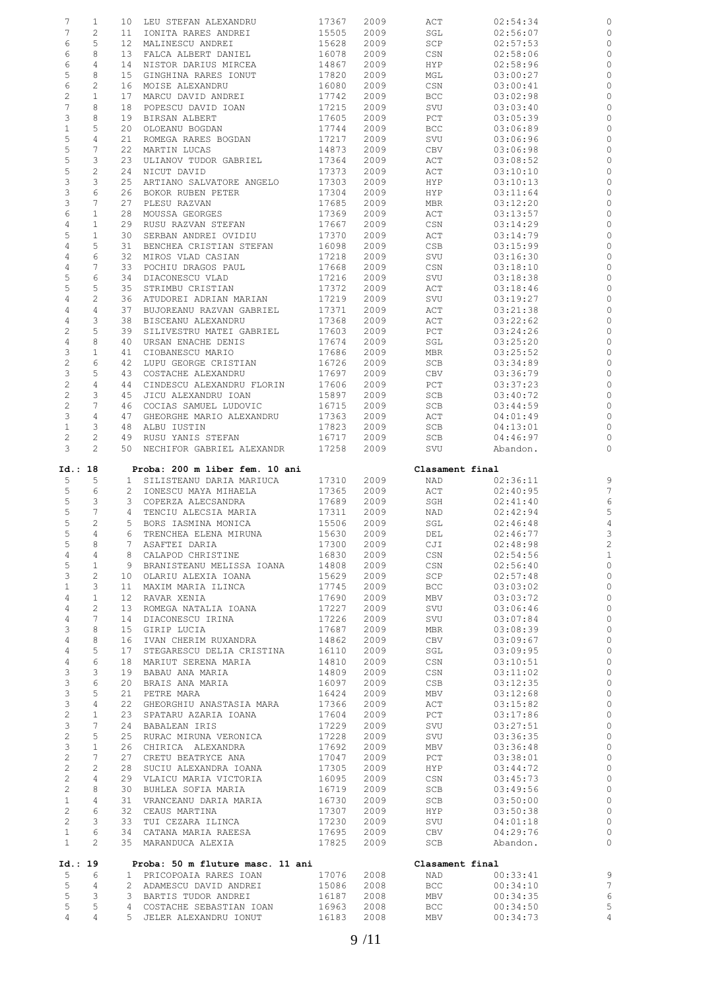| 7                                | $\mathbf{1}$            |                 | 10 LEU STEFAN ALEXANDRU                                             | 17367               | 2009         | ACT             | 02:54:34             | 0                              |
|----------------------------------|-------------------------|-----------------|---------------------------------------------------------------------|---------------------|--------------|-----------------|----------------------|--------------------------------|
| 7                                | $\mathbf{2}$            | 11              | IONITA RARES ANDREI                                                 | 15505               | 2009         | SGL             | 02:56:07             | 0                              |
| 6                                | 5                       | 12 <sup>7</sup> | MALINESCU ANDREI                                                    | 15628               | 2009         | SCP             | 02:57:53             | 0                              |
| 6                                | 8                       | 13              | FALCA ALBERT DANIEL                                                 | 16078               | 2009         | CSN             | 02:58:06             | 0                              |
| 6                                | 4                       | 14              | NISTOR DARIUS MIRCEA                                                | 14867               | 2009         | HYP             | 02:58:96             | 0                              |
| 5                                | 8                       | 15              | GINGHINA RARES IONUT                                                | 17820               | 2009         | MGL             | 03:00:27             | 0                              |
| $\epsilon$                       | $\mathbf{2}$            | 16              | MOISE ALEXANDRU                                                     | 16080               | 2009         | CSN             | 03:00:41             | 0                              |
| $\overline{c}$                   | $\mathbf{1}$            | 17              | MARCU DAVID ANDREI                                                  | 17742               | 2009         | BCC             | 03:02:98             | 0                              |
| $7\phantom{.}$                   | 8                       | 18              | POPESCU DAVID IOAN                                                  | 17215               | 2009         | SVU             | 03:03:40             | $\circ$                        |
| 3                                | 8                       | 19              | BIRSAN ALBERT                                                       | 17605               | 2009         | PCT             | 03:05:39             | 0                              |
| $\mathbf{1}$                     | 5                       | 20              | OLOEANU BOGDAN                                                      | 17744               | 2009         | <b>BCC</b>      | 03:06:89             | 0                              |
| 5                                | 4                       | 21              | ROMEGA RARES BOGDAN                                                 | 17217               | 2009         | SVU             | 03:06:96             | 0                              |
| 5                                | 7                       | 22              | MARTIN LUCAS                                                        | 14873               | 2009         | CBV             | 03:06:98             | $\circ$                        |
| 5                                | 3                       | 23              | ULIANOV TUDOR GABRIEL                                               | 17364               | 2009         | ACT             | 03:08:52             | 0                              |
| 5                                | $\mathbf{2}$            | 24              | NICUT DAVID                                                         | 17373               | 2009         | ACT             | 03:10:10             | 0                              |
| $\ensuremath{\mathsf{3}}$        | 3                       | 25              | ARTIANO SALVATORE ANGELO                                            | 17303               | 2009         | HYP             | 03:10:13             | 0                              |
| $\ensuremath{\mathsf{3}}$        | 6                       | 26              | BOKOR RUBEN PETER                                                   | 17304               | 2009         | HYP             | 03:11:64             | 0                              |
| 3                                | 7                       | 27              | PLESU RAZVAN                                                        | 17685               | 2009         | MBR             | 03:12:20             | 0                              |
| 6                                | $\mathbf{1}$            | 28              | MOUSSA GEORGES                                                      | 17369               | 2009         | ACT             | 03:13:57             | 0                              |
| 4                                | $\mathbf{1}$            | 29              | RUSU RAZVAN STEFAN                                                  | 17667               | 2009         | CSN             | 03:14:29             | 0                              |
| 5                                | $\mathbf{1}$            | 30              | SERBAN ANDREI OVIDIU                                                | 17370               | 2009         | ACT             | 03:14:79             | 0                              |
| 4                                | 5<br>6                  | 31<br>32        | BENCHEA CRISTIAN STEFAN                                             | 16098<br>17218      | 2009         | CSB             | 03:15:99             | 0<br>0                         |
| 4<br>$\overline{4}$              | 7                       | 33              | MIROS VLAD CASIAN<br>POCHIU DRAGOS PAUL                             | 17668               | 2009<br>2009 | SVU<br>CSN      | 03:16:30<br>03:18:10 | 0                              |
| 5                                | 6                       | 34              | DIACONESCU VLAD                                                     | 17216               | 2009         | SVU             | 03:18:38             | 0                              |
| 5                                | 5                       | 35              | STRIMBU CRISTIAN                                                    | 17372               | 2009         | ACT             | 03:18:46             | 0                              |
| $\overline{4}$                   | $\mathbf{2}$            | 36              | ATUDOREI ADRIAN MARIAN                                              | 17219               | 2009         | SVU             | 03:19:27             | 0                              |
| $\overline{4}$                   | 4                       | 37              | BUJOREANU RAZVAN GABRIEL                                            | 17371               | 2009         | ACT             | 03:21:38             | 0                              |
| $\overline{4}$                   | 3                       | 38              | BISCEANU ALEXANDRU                                                  | 17368               | 2009         | ACT             | 03:22:62             | 0                              |
| $\sqrt{2}$                       | 5                       | 39              | SILIVESTRU MATEI GABRIEL                                            | 17603               | 2009         | PCT             | 03:24:26             | 0                              |
| $\overline{4}$                   | 8                       | 40              | URSAN ENACHE DENIS                                                  | 17674               | 2009         | SGL             | 03:25:20             | 0                              |
| 3                                | $\mathbf{1}$            | 41              | CIOBANESCU MARIO                                                    | 17686               | 2009         | MBR             | 03:25:52             | 0                              |
| $\sqrt{2}$                       | 6                       | 42              | LUPU GEORGE CRISTIAN                                                | 16726               | 2009         | SCB             | 03:34:89             | 0                              |
| 3                                | 5                       | 43              | COSTACHE ALEXANDRU                                                  | 17697               | 2009         | CBV             | 03:36:79             | 0                              |
| $\mathbf{2}$                     | 4                       | 44              | CINDESCU ALEXANDRU FLORIN                                           | 17606               | 2009         | PCT             | 03:37:23             | 0                              |
| $\overline{c}$                   | 3                       | 45              | JICU ALEXANDRU IOAN                                                 | 15897               | 2009         | SCB             | 03:40:72             | 0                              |
| $\overline{c}$                   | 7                       | 46              | COCIAS SAMUEL LUDOVIC                                               | 16715               | 2009         | SCB             | 03:44:59             | 0                              |
| 3                                | 4                       | 47              | GHEORGHE MARIO ALEXANDRU                                            | 17363               | 2009         | ACT             | 04:01:49             | 0                              |
| $\mathbf{1}$                     | 3                       | 48              | ALBU IUSTIN                                                         | 17823               | 2009         | SCB             | 04:13:01             | 0                              |
| $\mathbf{2}$                     | $\overline{c}$          | 49              | RUSU YANIS STEFAN                                                   | 16717               | 2009         | SCB             | 04:46:97             | 0                              |
| 3                                | $\overline{2}$          |                 | 50 NECHIFOR GABRIEL ALEXANDR                                        | 17258               | 2009         | SVU             | Abandon.             | 0                              |
|                                  |                         |                 |                                                                     |                     |              | Clasament final |                      |                                |
| Id.: 18                          |                         |                 | Proba: 200 m liber fem. 10 ani                                      |                     |              |                 |                      |                                |
|                                  |                         |                 |                                                                     |                     |              |                 |                      |                                |
| 5                                | 5                       | $1 \quad$       | SILISTEANU DARIA MARIUCA                                            | 17310               | 2009         | NAD             | 02:36:11             | 9                              |
| 5                                | 6                       | 2               | IONESCU MAYA MIHAELA                                                | 17365               | 2009         | ACT             | 02:40:95             | 7                              |
| 5                                | 3                       |                 | 3 COPERZA ALECSANDRA                                                | 17689               | 2009         | SGH             | 02:41:40             | 6                              |
| 5                                | 7                       | 4               | TENCIU ALECSIA MARIA                                                | 17311               | 2009         | NAD             | 02:42:94             | 5                              |
| 5                                | 2                       |                 | 5 BORS IASMINA MONICA                                               | 15506               | 2009         | SGL             | 02:46:48             | $\overline{4}$                 |
| 5                                | 4                       | 6               | TRENCHEA ELENA MIRUNA                                               | 15630               | 2009         | DEL             | 02:46:77             | 3                              |
| 5<br>4                           | 8<br>4                  |                 | 7 ASAFTEI DARIA                                                     | 17300<br>16830      | 2009<br>2009 | CJI<br>CSN      | 02:48:98<br>02:54:56 | $\overline{c}$<br>$\mathbf{1}$ |
|                                  | 1                       |                 | 8 CALAPOD CHRISTINE                                                 |                     |              | CSN             | 02:56:40             | $\circ$                        |
| 5<br>3                           | $\overline{2}$          |                 | 9 BRANISTEANU MELISSA IOANA                                         | 14808 2009<br>15629 | 2009         | SCP             | 02:57:48             | $\circ$                        |
| $1\,$                            | $\mathbf{3}$            |                 | 10 OLARIU ALEXIA IOANA<br>11 MAXIM MARIA ILINCA                     | 17745               | 2009         | <b>BCC</b>      | 03:03:02             | $\circ$                        |
| $\overline{4}$                   | $\mathbf{1}$            |                 | 12 RAVAR XENIA                                                      | 17690               | 2009         | MBV             | 03:03:72             | $\circ$                        |
| $\overline{4}$                   | $\overline{c}$          |                 | 13 ROMEGA NATALIA IOANA                                             | 17227               | 2009         | SVU             | 03:06:46             | $\circ$                        |
| $\overline{4}$                   | $7^{\circ}$             |                 | 14 DIACONESCU IRINA                                                 | 17226               | 2009         | SVU             | 03:07:84             | $\circ$                        |
| 3                                | 8                       |                 | 15 GIRIP LUCIA                                                      | 17687               | 2009         | MBR             | 03:08:39             | $\circ$                        |
| $\overline{4}$                   | 8                       |                 | 16 IVAN CHERIM RUXANDRA                                             | 14862               | 2009         | CBV             | 03:09:67             | $\circ$                        |
| $\overline{4}$                   | 5                       |                 | 17 STEGARESCU DELIA CRISTINA                                        | 16110               | 2009         | SGL             | 03:09:95             | $\circ$                        |
| $\overline{4}$                   | 6                       |                 | 18 MARIUT SERENA MARIA                                              | 14810               | 2009         | CSN             | 03:10:51             | $\circ$                        |
| $\mathcal{E}$                    | $\mathbf{3}$            |                 | 19 BABAU ANA MARIA                                                  | 14809               | 2009         | CSN             | 03:11:02             | $\circ$                        |
| 3                                | 6                       |                 | 19 BABAU ANA MARIA<br>20 BRAIS ANA MARIA                            | 16097               | 2009         | CSB             | 03:12:35             | $\circ$                        |
| $\mathcal{E}$                    | 5                       |                 | 21 PETRE MARA                                                       | 16424               | 2009         | MBV             | 03:12:68             | $\circ$                        |
| 3                                | $\overline{4}$          |                 | 22 GHEORGHIU ANASTASIA MARA 17366                                   |                     | 2009         | ACT             | 03:15:82             | $\circ$                        |
| $\overline{c}$                   | $\mathbf{1}$            |                 | 23 SPATARU AZARIA IOANA                                             | 17604               | 2009         | PCT             | 03:17:86             | $\circ$                        |
| 3                                | 7                       |                 | 24 BABALEAN IRIS                                                    | 17229               | 2009         | SVU             | 03:27:51             | $\circ$                        |
| $\overline{2}$                   | 5<br>$\mathbf{1}$       |                 | 25 RURAC MIRUNA VERONICA                                            | 17228               | 2009         | SVU             | 03:36:35             | $\circ$                        |
| 3                                | $7\phantom{.0}$         |                 | 26 CHIRICA ALEXANDRA<br>27 CRETU BEATRYCE ANA                       | 17692<br>17047      | 2009<br>2009 | MBV<br>PCT      | 03:36:48<br>03:38:01 | $\circ$<br>$\circ$             |
| $\overline{2}$<br>$\overline{2}$ | $\overline{2}$          |                 | 28 SUCIU ALEXANDRA IOANA                                            | 17305               | 2009         | HYP             | 03:44:72             | $\circ$                        |
| $\overline{2}$                   | 4                       |                 |                                                                     | 16095               | 2009         | CSN             | 03:45:73             | $\circ$                        |
| $\overline{2}$                   | 8                       |                 | 29 VLAICU MARIA VICTORIA<br>30 BUHLEA SOFIA MARIA                   | 16719               | 2009         | SCB             | 03:49:56             | $\circ$                        |
| $\mathbf{1}$                     | 4                       |                 | 31 VRANCEANU DARIA MARIA                                            | 16730               | 2009         | SCB             | 03:50:00             | $\circ$                        |
| $\overline{2}$                   | 6                       |                 | 32 CEAUS MARTINA                                                    | 17307               | 2009         | HYP             | 03:50:38             | $\circ$                        |
| $\overline{2}$                   | $\mathcal{S}$           |                 | 33 TUI CEZARA ILINCA                                                |                     | 2009         | SVU             | 04:01:18             | $\circ$                        |
| $\mathbf{1}$                     | 6                       |                 | 34 CATANA MARIA RAEESA                                              | 17230<br>17695      | 2009         | CBV             | 04:29:76             | $\circ$                        |
| 1                                | $\overline{2}$          |                 | 35 MARANDUCA ALEXIA 17825                                           |                     | 2009         | SCB             | Abandon.             | $\circ$                        |
|                                  |                         |                 |                                                                     |                     |              |                 |                      |                                |
| Id.: 19                          |                         |                 | Proba: 50 m fluture masc. 11 ani                                    |                     |              | Clasament final |                      |                                |
| 5                                | 6                       |                 | 1 PRICOPOAIA RARES IOAN 17076                                       |                     | 2008         | NAD             | 00:33:41             | $\overline{9}$                 |
| 5                                | 4                       |                 | 2 ADAMESCU DAVID ANDREI 15086                                       |                     | 2008         | BCC             | 00:34:10             | $\overline{7}$                 |
| 5                                | $\overline{\mathbf{3}}$ |                 | 3 BARTIS TUDOR ANDREI                                               | 16187               | 2008         | MBV             | 00:34:35             | 6                              |
| 5<br>$\overline{4}$              | 5<br>4                  |                 | 2<br>COSTACHE SEBASTIAN IOAN 16963<br>5 JELER ALEXANDRU IONUT 16183 |                     | 2008<br>2008 | BCC<br>MBV      | 00:34:50<br>00:34:73 | 5<br>$\overline{4}$            |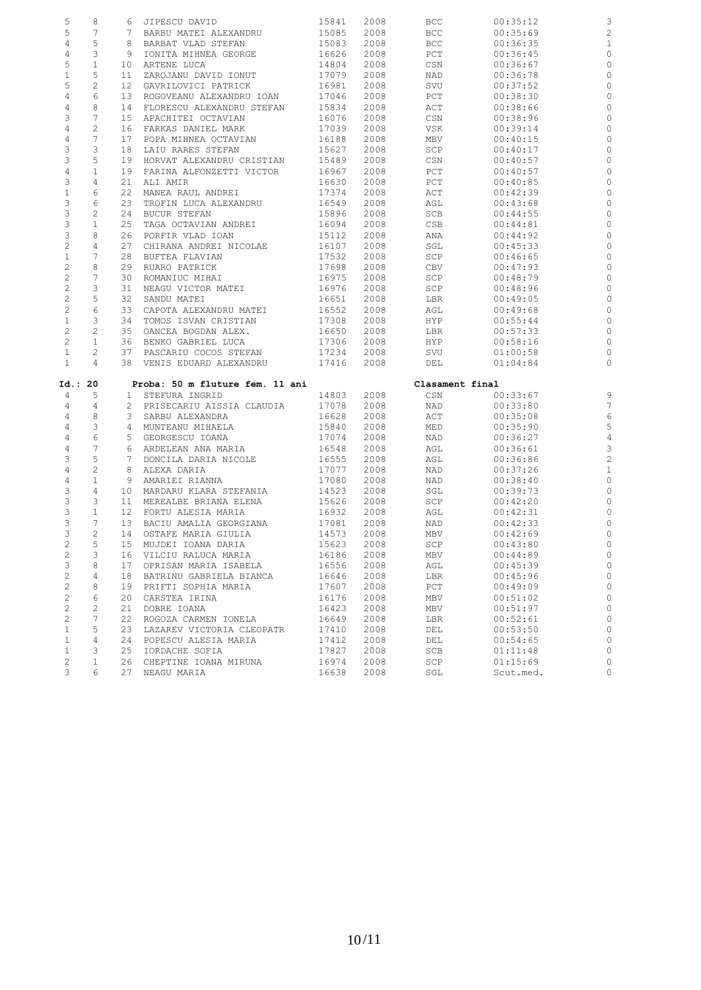| 5                 | 8                     |                 | 6 JIPESCU DAVID                         | 15841          | 2008         | <b>BCC</b>      | 00:35:12              | З              |
|-------------------|-----------------------|-----------------|-----------------------------------------|----------------|--------------|-----------------|-----------------------|----------------|
| 5                 | 7                     |                 | 7 BARBU MATEI ALEXANDRU                 | 15085          | 2008         | <b>BCC</b>      | 00:35:69              | $\overline{c}$ |
| $\overline{4}$    | 5                     |                 | 8 BARBAT VLAD STEFAN                    | 15083          | 2008         | <b>BCC</b>      | 00:36:35              | $\mathbf{1}$   |
| $\overline{4}$    | 3                     | 9               | IONITA MIHNEA GEORGE                    | 16626          | 2008         | PCT             | 00:36:45              | C              |
| 5                 | $\mathbf{1}$          |                 | 10 ARTENE LUCA                          | 14804          | 2008         | CSN             | 00:36:67              | $\circ$        |
| $\mathbf{1}$      | 5                     | 11              | ZAROJANU DAVID IONUT                    | 17079          | 2008         | NAD             | 00:36:78              | $\circ$        |
| 5                 | $\overline{c}$        |                 | 12 GAVRILOVICI PATRICK                  | 16981          | 2008         | SVU             | 00:37:52              | $\circ$        |
| 4                 | 6                     | 13              | ROGOVEANU ALEXANDRU IOAN                | 17046          | 2008         | PCT             | 00:38:30              | $\circ$        |
| 4                 | 8                     | 14              | FLORESCU ALEXANDRU STEFAN               | 15834          | 2008         | ACT             | 00:38:66              | $\circ$        |
| 3                 | 7                     | 15              | APACHITEI OCTAVIAN                      | 16076          | 2008         | CSN             | 00:38:96              | C              |
| $\sqrt{4}$        | $\mathbf{2}$          |                 | 16 FARKAS DANIEL MARK                   | 17039          | 2008         |                 |                       | $\circ$        |
|                   |                       |                 |                                         |                |              | VSK             | 00:39:14              |                |
| $\overline{4}$    | 7                     | 17              | POPA MIHNEA OCTAVIAN                    | 16188          | 2008         | MBV             | 00:40:15              | $\circ$        |
| 3                 | 3                     | 18              | LAIU RARES STEFAN                       | 15627          | 2008         | SCP             | 00:40:17              | $\circ$        |
| 3                 | 5                     | 19              | HORVAT ALEXANDRU CRISTIAN               | 15489          | 2008         | CSN             | 00:40:57              | $\circ$        |
| $\overline{4}$    | $1\,$                 | 19              | FARINA ALFONZETTI VICTOR                | 16967          | 2008         | PCT             | 00:40:57              | $\circ$        |
| 3                 | $\overline{4}$        | 21              | ALI AMIR                                | 16630          | 2008         | PCT             | 00:40:85              | $\circ$        |
| $\,1\,$           | 6                     | 22              | MANEA RAUL ANDREI                       | 17374          | 2008         | ACT             | 00:42:39              | $\circ$        |
| 3                 | 6                     | 23              | TROFIN LUCA ALEXANDRU                   | 16549          | 2008         | AGL             | 00:43:68              | C              |
| $\mathsf 3$       | 2                     |                 | 24 BUCUR STEFAN                         | 15896          | 2008         | SCB             | 00:44:55              | $\circ$        |
| 3                 | $\mathbf{1}$          | 25              | TAGA OCTAVIAN ANDREI                    | 16094          | 2008         | CSB             | 00:44:81              | C              |
| $\mathsf 3$       | 8                     | 26              | PORFIR VLAD IOAN                        | 15112          | 2008         | ANA             | 00:44:92              | $\circ$        |
| $\mathbf{2}$      | $\overline{4}$        | 27              | CHIRANA ANDREI NICOLAE                  | 16107          | 2008         | SGL             | 00:45:33              | C              |
| $\mathbf{1}$      | 7                     | 28              | BUFTEA FLAVIAN                          | 17532          | 2008         | SCP             | 00:46:65              | $\circ$        |
| $\overline{c}$    | 8                     | 29              | RUARO PATRICK                           | 17698          | 2008         | CBV             | 00:47:93              | C              |
| $\mathbf{2}$      | 7                     | 30              | ROMANIUC MIHAI                          | 16975          | 2008         | SCP             | 00:48:79              | C              |
| $\mathbf{2}$      | 3                     | 31              | NEAGU VICTOR MATEI                      | 16976          | 2008         | SCP             | 00:48:96              | C              |
| $\overline{c}$    | 5                     | 32              | SANDU MATEI                             | 16651          | 2008         | LBR             | 00:49:05              | $\circ$        |
| $\overline{c}$    | $\epsilon$            |                 | 33 CAPOTA ALEXANDRU MATEI               | 16552          | 2008         | AGL             | 00:49:68              | C              |
| $\mathbf{1}$      | 3                     | 34              | TOMOS ISVAN CRISTIAN                    | 17308          | 2008         | HYP             | 00:55:44              | C              |
| $\overline{2}$    | $\mathbf{2}$          | 35              | OANCEA BOGDAN ALEX.                     | 16650          | 2008         | LBR             | 00:57:33              | C              |
| $\overline{2}$    | $\mathbf{1}$          | 36              | BENKO GABRIEL LUCA                      | 17306          | 2008         | HYP             | 00:58:16              | C              |
| $\mathbf{1}$      | $\mathbf{2}^{\prime}$ | 37              | PASCARIU COCOS STEFAN                   | 17234          | 2008         | SVU             | 01:00:58              | C              |
| $\mathbf{1}$      | $\overline{4}$        |                 | 38 VENIS EDUARD ALEXANDRU               | 17416          | 2008         | DEL             | 01:04:84              | $\circ$        |
| Id.: 20           |                       |                 | Proba: 50 m fluture fem. 11 ani         |                |              | Clasament final |                       |                |
| $\overline{4}$    | 5                     |                 | 1 STEFURA INGRID                        | 14803          | 2008         | CSN             | 00:33:67              | S              |
|                   |                       |                 | 2 PRISECARIU AISSIA CLAUDIA             | 17078          | 2008         |                 | 00:33:80              | $\overline{7}$ |
|                   |                       |                 |                                         |                |              |                 |                       | $\epsilon$     |
| $\overline{4}$    | 4                     |                 |                                         |                |              | NAD             |                       |                |
| 4                 | 8                     |                 | 3 SARBU ALEXANDRA                       | 16628          | 2008         | ACT             | 00:35:08              |                |
| $\overline{4}$    | 3                     |                 | 4 MUNTEANU MIHAELA                      | 15840          | 2008         | MED             | 00:35:90              | 5              |
| $\overline{4}$    | $\epsilon$            |                 | 5 GEORGESCU IOANA                       | 17074          | 2008         | NAD             | 00:36:27              | $\overline{4}$ |
| $\overline{4}$    | 7                     |                 | 6 ARDELEAN ANA MARIA                    | 16548          | 2008         | AGL             | 00:36:61              | 3              |
| 3                 | 5                     |                 | 7 DONCILA DARIA NICOLE                  | 16555          | 2008         | AGL             | 00:36:86              | $\overline{c}$ |
| 4                 | $\mathbf{2}$          | 8               | ALEXA DARIA                             | 17077          | 2008         | NAD             | 00:37:26              | $\mathbf{1}$   |
| $\overline{4}$    | $1\,$                 |                 | 9 AMARIEI RIANNA                        | 17080          | 2008         | NAD             | 00:38:40              | $\circ$        |
| $\mathfrak{Z}$    | $\overline{4}$        | 10              | MARDARU KLARA STEFANIA                  | 14523          | 2008         | SGL             | 00:39:73              | $\circ$        |
| $\mathsf 3$       | 3                     | 11              | MEREALBE BRIANA ELENA                   | 15626          | 2008         | SCP             | 00:42:20              | $\circ$        |
| 3                 | $\mathbf{1}$          | 12 <sup>°</sup> | FORTU ALESIA MARIA                      | 16932          | 2008         | AGL             | 00:42:31              | $\circ$        |
| 3                 | 7                     |                 | 13 BACIU AMALIA GEORGIANA               | 17081          | 2008         | NAD             | 00:42:33              | $\circ$        |
| 3                 | 2                     | 14              | OSTAFE MARIA GIULIA                     | 14573          | 2008         | MBV             | 00:42:69              | $\circ$        |
| $\mathbf{2}$      | 5                     |                 | 15 MUJDEI IOANA DARIA                   | 15623          | 2008         | SCP             | 00:43:80              | C              |
| $\sqrt{2}$        | 3                     | 16              | VILCIU RALUCA MARIA                     | 16186          | 2008         | MBV             | 00:44:89              | C              |
| $\mathfrak{Z}$    | 8                     | 17              | OPRISAN MARIA ISABELA                   | 16556          | 2008         | AGL             | 00:45:39              | C              |
| $\sqrt{2}$        | 4                     | 18              | BATRINU GABRIELA BIANCA                 | 16646          | 2008         | LBR             | 00:45:96              | C              |
| $\sqrt{2}$        | 8                     | 19              | PRIFTI SOPHIA MARIA                     | 17607          | 2008         | PCT             | 00:49:09              | C              |
| $\sqrt{2}$        | 6                     | 20              | CARSTEA IRINA                           | 16176          | 2008         | MBV             | 00:51:02              | C              |
| $\sqrt{2}$        | $\overline{c}$        | 21              | DOBRE IOANA                             | 16423          | 2008         | MBV             | 00:51:97              | $\mathcal{C}$  |
| $\sqrt{2}$        | 7                     | 22              | ROGOZA CARMEN IONELA                    | 16649          | 2008         | LBR             | 00:52:61              | C              |
| $1\,$             | 5                     | 23              | LAZAREV VICTORIA CLEOPATR               | 17410          | 2008         | DEL             | 00:53:50              | C              |
| $\mathbf{1}$      | 4                     | 24              | POPESCU ALESIA MARIA                    | 17412          | 2008         | DEL             | 00:54:65              | C              |
| $\mathbf{1}$      | 3                     | 25              | IORDACHE SOFIA                          | 17827          | 2008         | SCB             | 01:11:48              | $\mathbf C$    |
| $\mathbf{2}$<br>3 | 1<br>6                | 26              | CHEPTINE IOANA MIRUNA<br>27 NEAGU MARIA | 16974<br>16638 | 2008<br>2008 | SCP<br>SGL      | 01:15:69<br>Scut.med. | $\circ$<br>O   |